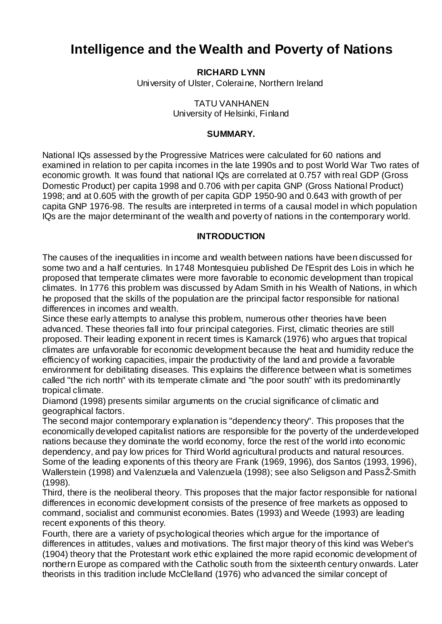# **Intelligence and the Wealth and Poverty of Nations**

**RICHARD LYNN**

University of Ulster, Coleraine, Northern Ireland

TATU VANHANEN University of Helsinki, Finland

# **SUMMARY.**

National IQs assessed by the Progressive Matrices were calculated for 60 nations and examined in relation to per capita incomes in the late 1990s and to post World War Two rates of economic growth. It was found that national IQs are correlated at 0.757 with real GDP (Gross Domestic Product) per capita 1998 and 0.706 with per capita GNP (Gross National Product) 1998; and at 0.605 with the growth of per capita GDP 1950-90 and 0.643 with growth of per capita GNP 1976-98. The results are interpreted in terms of a causal model in which population IQs are the major determinant of the wealth and poverty of nations in the contemporary world.

# **INTRODUCTION**

The causes of the inequalities in income and wealth between nations have been discussed for some two and a half centuries. In 1748 Montesquieu published De l'Esprit des Lois in which he proposed that temperate climates were more favorable to economic development than tropical climates. In 1776 this problem was discussed by Adam Smith in his Wealth of Nations, in which he proposed that the skills of the population are the principal factor responsible for national differences in incomes and wealth.

Since these early attempts to analyse this problem, numerous other theories have been advanced. These theories fall into four principal categories. First, climatic theories are still proposed. Their leading exponent in recent times is Kamarck (1976) who argues that tropical climates are unfavorable for economic development because the heat and humidity reduce the efficiency of working capacities, impair the productivity of the land and provide a favorable environment for debilitating diseases. This explains the difference between what is sometimes called "the rich north" with its temperate climate and "the poor south" with its predominantly tropical climate.

Diamond (1998) presents similar arguments on the crucial significance of climatic and geographical factors.

The second major contemporary explanation is "dependency theory". This proposes that the economically developed capitalist nations are responsible for the poverty of the underdeveloped nations because they dominate the world economy, force the rest of the world into economic dependency, and pay low prices for Third World agricultural products and natural resources. Some of the leading exponents of this theory are Frank (1969, 1996), dos Santos (1993, 1996), Wallerstein (1998) and Valenzuela and Valenzuela (1998); see also Seligson and PassŽ-Smith (1998).

Third, there is the neoliberal theory. This proposes that the major factor responsible for national differences in economic development consists of the presence of free markets as opposed to command, socialist and communist economies. Bates (1993) and Weede (1993) are leading recent exponents of this theory.

Fourth, there are a variety of psychological theories which argue for the importance of differences in attitudes, values and motivations. The first major theory of this kind was Weber's (1904) theory that the Protestant work ethic explained the more rapid economic development of northern Europe as compared with the Catholic south from the sixteenth century onwards. Later theorists in this tradition include McClelland (1976) who advanced the similar concept of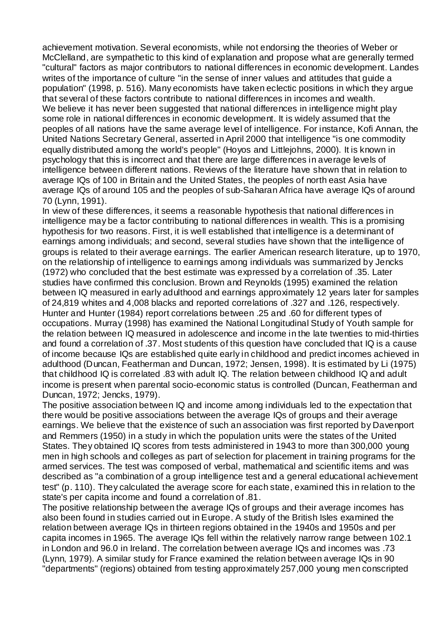achievement motivation. Several economists, while not endorsing the theories of Weber or McClelland, are sympathetic to this kind of explanation and propose what are generally termed "cultural" factors as major contributors to national differences in economic development. Landes writes of the importance of culture "in the sense of inner values and attitudes that guide a population" (1998, p. 516). Many economists have taken eclectic positions in which they argue that several of these factors contribute to national differences in incomes and wealth. We believe it has never been suggested that national differences in intelligence might play some role in national differences in economic development. It is widely assumed that the peoples of all nations have the same average level of intelligence. For instance, Kofi Annan, the United Nations Secretary General, asserted in April 2000 that intelligence "is one commodity equally distributed among the world's people" (Hoyos and Littlejohns, 2000). It is known in psychology that this is incorrect and that there are large differences in average levels of intelligence between different nations. Reviews of the literature have shown that in relation to average IQs of 100 in Britain and the United States, the peoples of north east Asia have average IQs of around 105 and the peoples of sub-Saharan Africa have average IQs of around 70 (Lynn, 1991).

In view of these differences, it seems a reasonable hypothesis that national differences in intelligence may be a factor contributing to national differences in wealth. This is a promising hypothesis for two reasons. First, it is well established that intelligence is a determinant of earnings among individuals; and second, several studies have shown that the intelligence of groups is related to their average earnings. The earlier American research literature, up to 1970, on the relationship of intelligence to earnings among individuals was summarized by Jencks (1972) who concluded that the best estimate was expressed by a correlation of .35. Later studies have confirmed this conclusion. Brown and Reynolds (1995) examined the relation between IQ measured in early adulthood and earnings approximately 12 years later for samples of 24,819 whites and 4,008 blacks and reported correlations of .327 and .126, respectively. Hunter and Hunter (1984) report correlations between .25 and .60 for different types of occupations. Murray (1998) has examined the National Longitudinal Study of Youth sample for the relation between IQ measured in adolescence and income in the late twenties to mid-thirties and found a correlation of .37. Most students of this question have concluded that IQ is a cause of income because IQs are established quite early in childhood and predict incomes achieved in adulthood (Duncan, Featherman and Duncan, 1972; Jensen, 1998). It is estimated by Li (1975) that childhood IQ is correlated .83 with adult IQ. The relation between childhood IQ and adult income is present when parental socio-economic status is controlled (Duncan, Featherman and Duncan, 1972; Jencks, 1979).

The positive association between IQ and income among individuals led to the expectation that there would be positive associations between the average IQs of groups and their average earnings. We believe that the existence of such an association was first reported by Davenport and Remmers (1950) in a study in which the population units were the states of the United States. They obtained IQ scores from tests administered in 1943 to more than 300,000 young men in high schools and colleges as part of selection for placement in training programs for the armed services. The test was composed of verbal, mathematical and scientific items and was described as "a combination of a group intelligence test and a general educational achievement test" (p. 110). They calculated the average score for each state, examined this in relation to the state's per capita income and found a correlation of .81.

The positive relationship between the average IQs of groups and their average incomes has also been found in studies carried out in Europe. A study of the British Isles examined the relation between average IQs in thirteen regions obtained in the 1940s and 1950s and per capita incomes in 1965. The average IQs fell within the relatively narrow range between 102.1 in London and 96.0 in Ireland. The correlation between average IQs and incomes was .73 (Lynn, 1979). A similar study for France examined the relation between average IQs in 90 "departments" (regions) obtained from testing approximately 257,000 young men conscripted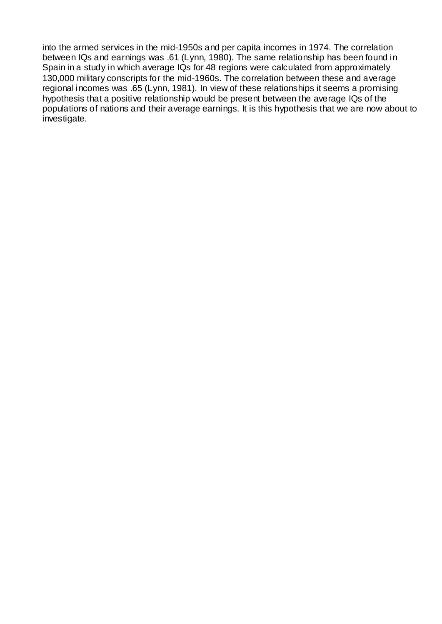into the armed services in the mid-1950s and per capita incomes in 1974. The correlation between IQs and earnings was .61 (Lynn, 1980). The same relationship has been found in Spain in a study in which average IQs for 48 regions were calculated from approximately 130,000 military conscripts for the mid-1960s. The correlation between these and average regional incomes was .65 (Lynn, 1981). In view of these relationships it seems a promising hypothesis that a positive relationship would be present between the average IQs of the populations of nations and their average earnings. It is this hypothesis that we are now about to investigate.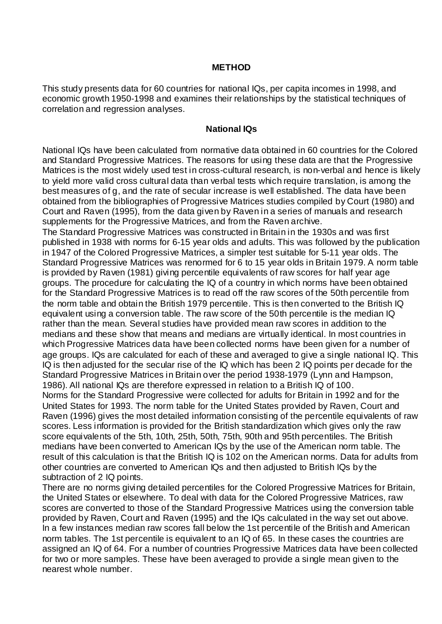#### **METHOD**

This study presents data for 60 countries for national IQs, per capita incomes in 1998, and economic growth 1950-1998 and examines their relationships by the statistical techniques of correlation and regression analyses.

#### **National IQs**

National IQs have been calculated from normative data obtained in 60 countries for the Colored and Standard Progressive Matrices. The reasons for using these data are that the Progressive Matrices is the most widely used test in cross-cultural research, is non-verbal and hence is likely to yield more valid cross cultural data than verbal tests which require translation, is among the best measures of g, and the rate of secular increase is well established. The data have been obtained from the bibliographies of Progressive Matrices studies compiled by Court (1980) and Court and Raven (1995), from the data given by Raven in a series of manuals and research supplements for the Progressive Matrices, and from the Raven archive.

The Standard Progressive Matrices was constructed in Britain in the 1930s and was first published in 1938 with norms for 6-15 year olds and adults. This was followed by the publication in 1947 of the Colored Progressive Matrices, a simpler test suitable for 5-11 year olds. The Standard Progressive Matrices was renormed for 6 to 15 year olds in Britain 1979. A norm table is provided by Raven (1981) giving percentile equivalents of raw scores for half year age groups. The procedure for calculating the IQ of a country in which norms have been obtained for the Standard Progressive Matrices is to read off the raw scores of the 50th percentile from the norm table and obtain the British 1979 percentile. This is then converted to the British IQ equivalent using a conversion table. The raw score of the 50th percentile is the median IQ rather than the mean. Several studies have provided mean raw scores in addition to the medians and these show that means and medians are virtually identical. In most countries in which Progressive Matrices data have been collected norms have been given for a number of age groups. IQs are calculated for each of these and averaged to give a single national IQ. This IQ is then adjusted for the secular rise of the IQ which has been 2 IQ points per decade for the Standard Progressive Matrices in Britain over the period 1938-1979 (Lynn and Hampson, 1986). All national IQs are therefore expressed in relation to a British IQ of 100. Norms for the Standard Progressive were collected for adults for Britain in 1992 and for the United States for 1993. The norm table for the United States provided by Raven, Court and

Raven (1996) gives the most detailed information consisting of the percentile equivalents of raw scores. Less information is provided for the British standardization which gives only the raw score equivalents of the 5th, 10th, 25th, 50th, 75th, 90th and 95th percentiles. The British medians have been converted to American IQs by the use of the American norm table. The result of this calculation is that the British IQ is 102 on the American norms. Data for adults from other countries are converted to American IQs and then adjusted to British IQs by the subtraction of 2 IQ points.

There are no norms giving detailed percentiles for the Colored Progressive Matrices for Britain, the United States or elsewhere. To deal with data for the Colored Progressive Matrices, raw scores are converted to those of the Standard Progressive Matrices using the conversion table provided by Raven, Court and Raven (1995) and the IQs calculated in the way set out above. In a few instances median raw scores fall below the 1st percentile of the British and American norm tables. The 1st percentile is equivalent to an IQ of 65. In these cases the countries are assigned an IQ of 64. For a number of countries Progressive Matrices data have been collected for two or more samples. These have been averaged to provide a single mean given to the nearest whole number.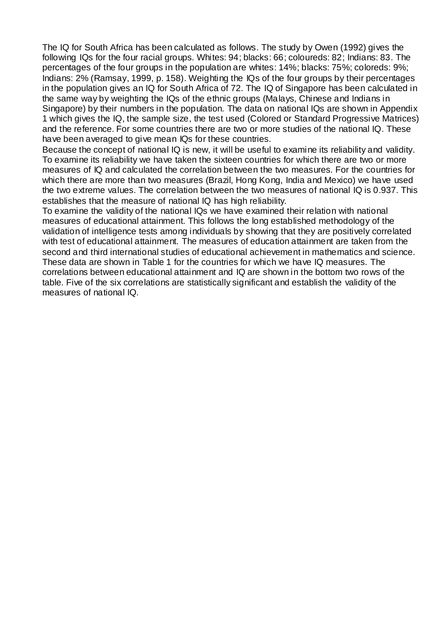The IQ for South Africa has been calculated as follows. The study by Owen (1992) gives the following IQs for the four racial groups. Whites: 94; blacks: 66; coloureds: 82; Indians: 83. The percentages of the four groups in the population are whites: 14%; blacks: 75%; coloreds: 9%; Indians: 2% (Ramsay, 1999, p. 158). Weighting the IQs of the four groups by their percentages in the population gives an IQ for South Africa of 72. The IQ of Singapore has been calculated in the same way by weighting the IQs of the ethnic groups (Malays, Chinese and Indians in Singapore) by their numbers in the population. The data on national IQs are shown in Appendix 1 which gives the IQ, the sample size, the test used (Colored or Standard Progressive Matrices) and the reference. For some countries there are two or more studies of the national IQ. These have been averaged to give mean IQs for these countries.

Because the concept of national IQ is new, it will be useful to examine its reliability and validity. To examine its reliability we have taken the sixteen countries for which there are two or more measures of IQ and calculated the correlation between the two measures. For the countries for which there are more than two measures (Brazil, Hong Kong, India and Mexico) we have used the two extreme values. The correlation between the two measures of national IQ is 0.937. This establishes that the measure of national IQ has high reliability.

To examine the validity of the national IQs we have examined their relation with national measures of educational attainment. This follows the long established methodology of the validation of intelligence tests among individuals by showing that they are positively correlated with test of educational attainment. The measures of education attainment are taken from the second and third international studies of educational achievement in mathematics and science. These data are shown in Table 1 for the countries for which we have IQ measures. The correlations between educational attainment and IQ are shown in the bottom two rows of the table. Five of the six correlations are statistically significant and establish the validity of the measures of national IQ.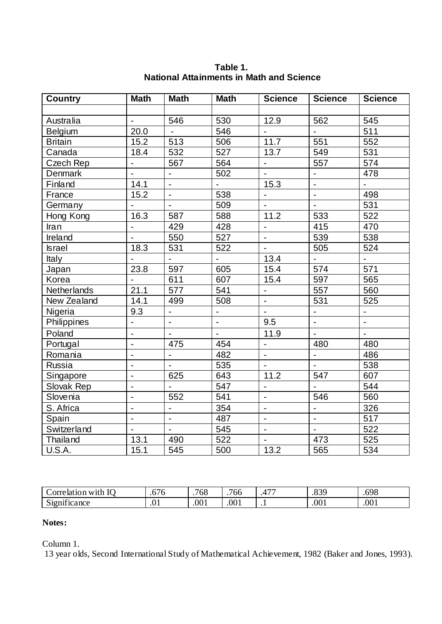| <b>Country</b>   | <b>Math</b>                  | <b>Math</b>              | <b>Math</b>              | <b>Science</b>               | <b>Science</b>               | <b>Science</b> |
|------------------|------------------------------|--------------------------|--------------------------|------------------------------|------------------------------|----------------|
|                  |                              |                          |                          |                              |                              |                |
| Australia        | $\blacksquare$               | 546                      | 530                      | 12.9                         | 562                          | 545            |
| Belgium          | 20.0                         |                          | 546                      | $\overline{a}$               |                              | 511            |
| <b>Britain</b>   | 15.2                         | 513                      | 506                      | 11.7                         | 551                          | 552            |
| Canada           | 18.4                         | 532                      | 527                      | 13.7                         | 549                          | 531            |
| <b>Czech Rep</b> | $\overline{a}$               | 567                      | 564                      | $\blacksquare$               | 557                          | 574            |
| Denmark          | $\overline{a}$               | ÷,                       | 502                      | ÷,                           | $\overline{a}$               | 478            |
| Finland          | 14.1                         | L,                       | $\frac{1}{2}$            | 15.3                         | $\overline{a}$               | $\Box$         |
| France           | 15.2                         | $\blacksquare$           | 538                      | $\qquad \qquad \blacksquare$ | $\blacksquare$               | 498            |
| Germany          |                              |                          | 509                      | $\overline{a}$               | $\ddot{\phantom{1}}$         | 531            |
| Hong Kong        | 16.3                         | 587                      | 588                      | 11.2                         | 533                          | 522            |
| Iran             |                              | 429                      | 428                      | $\blacksquare$               | 415                          | 470            |
| Ireland          |                              | 550                      | 527                      | $\blacksquare$               | 539                          | 538            |
| <b>Israel</b>    | 18.3                         | 531                      | 522                      | $\overline{a}$               | 505                          | 524            |
| Italy            |                              | $\blacksquare$           | L.                       | 13.4                         | $\blacksquare$               | $\Box$         |
| Japan            | 23.8                         | 597                      | 605                      | 15.4                         | 574                          | 571            |
| Korea            | $\overline{a}$               | 611                      | 607                      | 15.4                         | 597                          | 565            |
| Netherlands      | 21.1                         | 577                      | 541                      | $\blacksquare$               | 557                          | 560            |
| New Zealand      | 14.1                         | 499                      | 508                      | $\overline{\phantom{a}}$     | 531                          | 525            |
| Nigeria          | 9.3                          | $\overline{\phantom{0}}$ | $\overline{\phantom{a}}$ | $\overline{\phantom{a}}$     | $\qquad \qquad \blacksquare$ |                |
| Philippines      | $\overline{a}$               | $\overline{\phantom{a}}$ | $\blacksquare$           | 9.5                          | $\overline{\phantom{a}}$     | $\blacksquare$ |
| Poland           | ÷,                           | $\blacksquare$           | $\blacksquare$           | 11.9                         | $\blacksquare$               | $\mathbf{r}$   |
| Portugal         | $\qquad \qquad \blacksquare$ | 475                      | 454                      |                              | 480                          | 480            |
| Romania          | $\overline{a}$               | $\blacksquare$           | 482                      | $\overline{\phantom{a}}$     | $\blacksquare$               | 486            |
| Russia           | $\ddot{\phantom{a}}$         | $\blacksquare$           | 535                      | $\overline{a}$               | $\overline{a}$               | 538            |
| Singapore        | $\qquad \qquad \blacksquare$ | 625                      | 643                      | 11.2                         | 547                          | 607            |
| Slovak Rep       | $\overline{a}$               | $\overline{a}$           | 547                      | ÷,                           | $\overline{a}$               | 544            |
| Slovenia         | $\overline{a}$               | 552                      | 541                      | $\blacksquare$               | 546                          | 560            |
| S. Africa        | $\blacksquare$               | $\overline{\phantom{a}}$ | 354                      | ÷,                           | $\overline{\phantom{a}}$     | 326            |
| Spain            | ÷,                           | $\blacksquare$           | 487                      | ÷,                           | $\blacksquare$               | 517            |
| Switzerland      | $\blacksquare$               |                          | 545                      | $\overline{\phantom{a}}$     | $\overline{\phantom{a}}$     | 522            |
| Thailand         | $\overline{13.1}$            | 490                      | 522                      | $\overline{\phantom{a}}$     | 473                          | 525            |
| U.S.A.           | 15.1                         | 545                      | 500                      | 13.2                         | 565                          | 534            |

# **Table 1. National Attainments in Math and Science**

| $\mathbf{r}$<br>$\alpha$ rr $\epsilon$<br>with<br>lation. | -- -<br>76<br>$\cdot$ $\circ$ | $\sim$ $\sim$ $\sim$<br><sub>00</sub> | 1<br>'66 | $-$<br>4 | റററ<br>$\cdot\circ\circ$ | 60 <sup>c</sup><br>.vzo |
|-----------------------------------------------------------|-------------------------------|---------------------------------------|----------|----------|--------------------------|-------------------------|
| $\cdot$ $\sim$<br>$\sim$<br>Significance                  | $\cdot$                       | .001                                  | .001     | . .      | .001                     | .001                    |

# **Notes:**

Column 1.

13 year olds, Second International Study of Mathematical Achievement, 1982 (Baker and Jones, 1993).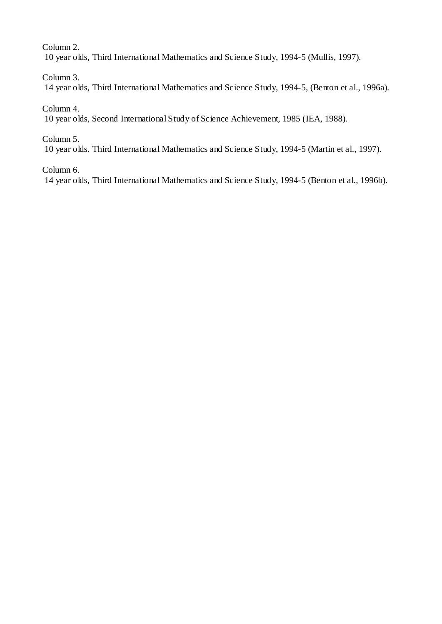Column 2.

10 year olds, Third International Mathematics and Science Study, 1994-5 (Mullis, 1997).

Column 3.

14 year olds, Third International Mathematics and Science Study, 1994-5, (Benton et al., 1996a).

Column 4.

10 year olds, Second International Study of Science Achievement, 1985 (IEA, 1988).

Column 5.

10 year olds. Third International Mathematics and Science Study, 1994-5 (Martin et al., 1997).

Column 6.

14 year olds, Third International Mathematics and Science Study, 1994-5 (Benton et al., 1996b).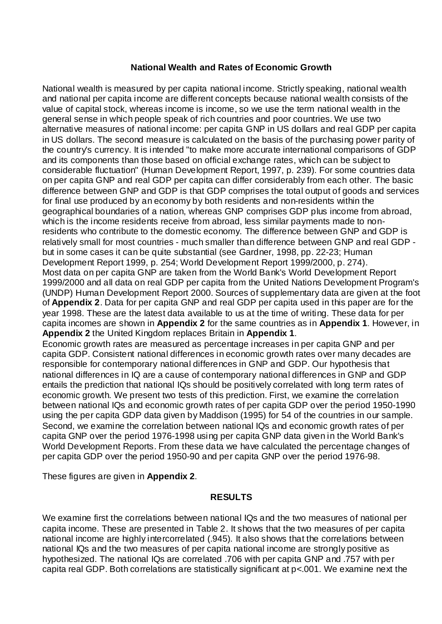## **National Wealth and Rates of Economic Growth**

National wealth is measured by per capita national income. Strictly speaking, national wealth and national per capita income are different concepts because national wealth consists of the value of capital stock, whereas income is income, so we use the term national wealth in the general sense in which people speak of rich countries and poor countries. We use two alternative measures of national income: per capita GNP in US dollars and real GDP per capita in US dollars. The second measure is calculated on the basis of the purchasing power parity of the country's currency. It is intended "to make more accurate international comparisons of GDP and its components than those based on official exchange rates, which can be subject to considerable fluctuation" (Human Development Report, 1997, p. 239). For some countries data on per capita GNP and real GDP per capita can differ considerably from each other. The basic difference between GNP and GDP is that GDP comprises the total output of goods and services for final use produced by an economy by both residents and non-residents within the geographical boundaries of a nation, whereas GNP comprises GDP plus income from abroad, which is the income residents receive from abroad, less similar payments made to nonresidents who contribute to the domestic economy. The difference between GNP and GDP is relatively small for most countries - much smaller than difference between GNP and real GDP but in some cases it can be quite substantial (see Gardner, 1998, pp. 22-23; Human Development Report 1999, p. 254; World Development Report 1999/2000, p. 274). Most data on per capita GNP are taken from the World Bank's World Development Report 1999/2000 and all data on real GDP per capita from the United Nations Development Program's (UNDP) Human Development Report 2000. Sources of supplementary data are given at the foot of **Appendix 2**. Data for per capita GNP and real GDP per capita used in this paper are for the year 1998. These are the latest data available to us at the time of writing. These data for per capita incomes are shown in **Appendix 2** for the same countries as in **Appendix 1**. However, in **Appendix 2** the United Kingdom replaces Britain in **Appendix 1**. Economic growth rates are measured as percentage increases in per capita GNP and per

capita GDP. Consistent national differences in economic growth rates over many decades are responsible for contemporary national differences in GNP and GDP. Our hypothesis that national differences in IQ are a cause of contemporary national differences in GNP and GDP entails the prediction that national IQs should be positively correlated with long term rates of economic growth. We present two tests of this prediction. First, we examine the correlation between national IQs and economic growth rates of per capita GDP over the period 1950-1990 using the per capita GDP data given by Maddison (1995) for 54 of the countries in our sample. Second, we examine the correlation between national IQs and economic growth rates of per capita GNP over the period 1976-1998 using per capita GNP data given in the World Bank's World Development Reports. From these data we have calculated the percentage changes of per capita GDP over the period 1950-90 and per capita GNP over the period 1976-98.

These figures are given in **Appendix 2**.

# **RESULTS**

We examine first the correlations between national IQs and the two measures of national per capita income. These are presented in Table 2. It shows that the two measures of per capita national income are highly intercorrelated (.945). It also shows that the correlations between national IQs and the two measures of per capita national income are strongly positive as hypothesized. The national IQs are correlated .706 with per capita GNP and .757 with per capita real GDP. Both correlations are statistically significant at p<.001. We examine next the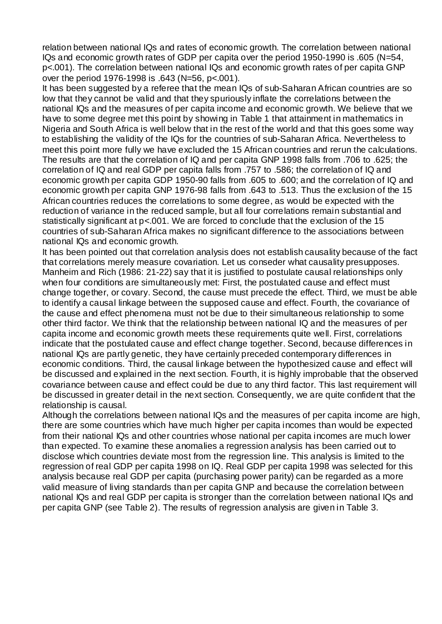relation between national IQs and rates of economic growth. The correlation between national IQs and economic growth rates of GDP per capita over the period 1950-1990 is .605 (N=54, p<.001). The correlation between national IQs and economic growth rates of per capita GNP over the period 1976-1998 is .643 (N=56, p<.001).

It has been suggested by a referee that the mean IQs of sub-Saharan African countries are so low that they cannot be valid and that they spuriously inflate the correlations between the national IQs and the measures of per capita income and economic growth. We believe that we have to some degree met this point by showing in Table 1 that attainment in mathematics in Nigeria and South Africa is well below that in the rest of the world and that this goes some way to establishing the validity of the IQs for the countries of sub-Saharan Africa. Nevertheless to meet this point more fully we have excluded the 15 African countries and rerun the calculations. The results are that the correlation of IQ and per capita GNP 1998 falls from .706 to .625; the correlation of IQ and real GDP per capita falls from .757 to .586; the correlation of IQ and economic growth per capita GDP 1950-90 falls from .605 to .600; and the correlation of IQ and economic growth per capita GNP 1976-98 falls from .643 to .513. Thus the exclusion of the 15 African countries reduces the correlations to some degree, as would be expected with the reduction of variance in the reduced sample, but all four correlations remain substantial and statistically significant at p<.001. We are forced to conclude that the exclusion of the 15 countries of sub-Saharan Africa makes no significant difference to the associations between national IQs and economic growth.

It has been pointed out that correlation analysis does not establish causality because of the fact that correlations merely measure covariation. Let us conseder what causality presupposes. Manheim and Rich (1986: 21-22) say that it is justified to postulate causal relationships only when four conditions are simultaneously met: First, the postulated cause and effect must change together, or covary. Second, the cause must precede the effect. Third, we must be able to identify a causal linkage between the supposed cause and effect. Fourth, the covariance of the cause and effect phenomena must not be due to their simultaneous relationship to some other third factor. We think that the relationship between national IQ and the measures of per capita income and economic growth meets these requirements quite well. First, correlations indicate that the postulated cause and effect change together. Second, because differences in national IQs are partly genetic, they have certainly preceded contemporary differences in economic conditions. Third, the causal linkage between the hypothesized cause and effect will be discussed and explained in the next section. Fourth, it is highly improbable that the observed covariance between cause and effect could be due to any third factor. This last requirement will be discussed in greater detail in the next section. Consequently, we are quite confident that the relationship is causal.

Although the correlations between national IQs and the measures of per capita income are high, there are some countries which have much higher per capita incomes than would be expected from their national IQs and other countries whose national per capita incomes are much lower than expected. To examine these anomalies a regression analysis has been carried out to disclose which countries deviate most from the regression line. This analysis is limited to the regression of real GDP per capita 1998 on IQ. Real GDP per capita 1998 was selected for this analysis because real GDP per capita (purchasing power parity) can be regarded as a more valid measure of living standards than per capita GNP and because the correlation between national IQs and real GDP per capita is stronger than the correlation between national IQs and per capita GNP (see Table 2). The results of regression analysis are given in Table 3.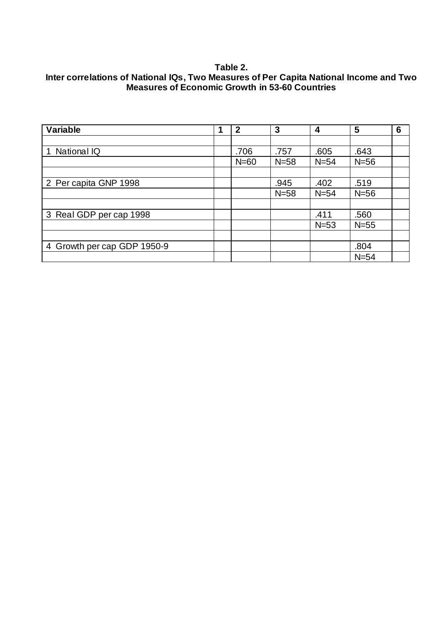# **Table 2. Inter correlations of National IQs, Two Measures of Per Capita National Income and Two Measures of Economic Growth in 53-60 Countries**

| <b>Variable</b>             | 1 | $\mathbf 2$ | 3      | 4      | 5      | 6 |
|-----------------------------|---|-------------|--------|--------|--------|---|
|                             |   |             |        |        |        |   |
| <b>National IQ</b>          |   | .706        | .757   | .605   | .643   |   |
|                             |   | $N=60$      | $N=58$ | $N=54$ | $N=56$ |   |
|                             |   |             |        |        |        |   |
| 2 Per capita GNP 1998       |   |             | .945   | .402   | .519   |   |
|                             |   |             | $N=58$ | $N=54$ | $N=56$ |   |
|                             |   |             |        |        |        |   |
| 3 Real GDP per cap 1998     |   |             |        | .411   | .560   |   |
|                             |   |             |        | $N=53$ | $N=55$ |   |
|                             |   |             |        |        |        |   |
| 4 Growth per cap GDP 1950-9 |   |             |        |        | .804   |   |
|                             |   |             |        |        | $N=54$ |   |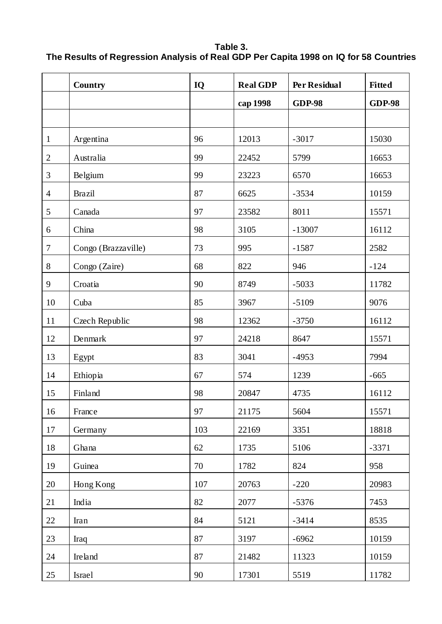# **Table 3. The Results of Regression Analysis of Real GDP Per Capita 1998 on IQ for 58 Countries**

|                | Country             | IQ  | <b>Real GDP</b> | <b>Per Residual</b> | <b>Fitted</b> |
|----------------|---------------------|-----|-----------------|---------------------|---------------|
|                |                     |     | cap 1998        | <b>GDP-98</b>       | <b>GDP-98</b> |
|                |                     |     |                 |                     |               |
| $\mathbf{1}$   | Argentina           | 96  | 12013           | $-3017$             | 15030         |
| $\overline{2}$ | Australia           | 99  | 22452           | 5799                | 16653         |
| 3              | Belgium             | 99  | 23223           | 6570                | 16653         |
| $\overline{4}$ | <b>Brazil</b>       | 87  | 6625            | $-3534$             | 10159         |
| 5              | Canada              | 97  | 23582           | 8011                | 15571         |
| 6              | China               | 98  | 3105            | $-13007$            | 16112         |
| $\tau$         | Congo (Brazzaville) | 73  | 995             | $-1587$             | 2582          |
| $8\,$          | Congo (Zaire)       | 68  | 822             | 946                 | $-124$        |
| 9              | Croatia             | 90  | 8749            | $-5033$             | 11782         |
| 10             | Cuba                | 85  | 3967            | $-5109$             | 9076          |
| 11             | Czech Republic      | 98  | 12362           | $-3750$             | 16112         |
| 12             | Denmark             | 97  | 24218           | 8647                | 15571         |
| 13             | Egypt               | 83  | 3041            | $-4953$             | 7994          |
| 14             | Ethiopia            | 67  | 574             | 1239                | $-665$        |
| 15             | Finland             | 98  | 20847           | 4735                | 16112         |
| 16             | France              | 97  | 21175           | 5604                | 15571         |
| 17             | Germany             | 103 | 22169           | 3351                | 18818         |
| $18\,$         | Ghana               | 62  | 1735            | 5106                | $-3371$       |
| 19             | Guinea              | 70  | 1782            | 824                 | 958           |
| 20             | Hong Kong           | 107 | 20763           | $-220$              | 20983         |
| 21             | India               | 82  | 2077            | $-5376$             | 7453          |
| 22             | Iran                | 84  | 5121            | $-3414$             | 8535          |
| 23             | Iraq                | 87  | 3197            | $-6962$             | 10159         |
| 24             | Ireland             | 87  | 21482           | 11323               | 10159         |
| 25             | Israel              | 90  | 17301           | 5519                | 11782         |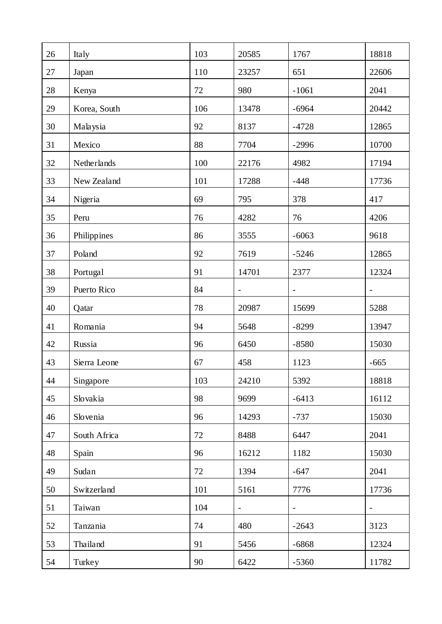| 26 | Italy        | 103 | 20585                    | 1767                     | 18818                    |
|----|--------------|-----|--------------------------|--------------------------|--------------------------|
| 27 | Japan        | 110 | 23257                    | 651                      | 22606                    |
| 28 | Kenya        | 72  | 980                      | $-1061$                  | 2041                     |
| 29 | Korea, South | 106 | 13478                    | $-6964$                  | 20442                    |
| 30 | Malaysia     | 92  | 8137                     | $-4728$                  | 12865                    |
| 31 | Mexico       | 88  | 7704                     | $-2996$                  | 10700                    |
| 32 | Netherlands  | 100 | 22176                    | 4982                     | 17194                    |
| 33 | New Zealand  | 101 | 17288                    | $-448$                   | 17736                    |
| 34 | Nigeria      | 69  | 795                      | 378                      | 417                      |
| 35 | Peru         | 76  | 4282                     | 76                       | 4206                     |
| 36 | Philippines  | 86  | 3555                     | $-6063$                  | 9618                     |
| 37 | Poland       | 92  | 7619                     | $-5246$                  | 12865                    |
| 38 | Portugal     | 91  | 14701                    | 2377                     | 12324                    |
| 39 | Puerto Rico  | 84  | $\overline{\phantom{0}}$ | $\qquad \qquad -$        |                          |
| 40 | Qatar        | 78  | 20987                    | 15699                    | 5288                     |
| 41 | Romania      | 94  | 5648                     | $-8299$                  | 13947                    |
| 42 | Russia       | 96  | 6450                     | $-8580$                  | 15030                    |
| 43 | Sierra Leone | 67  | 458                      | 1123                     | $-665$                   |
| 44 | Singapore    | 103 | 24210                    | 5392                     | 18818                    |
| 45 | Slovakia     | 98  | 9699                     | $-6413$                  | 16112                    |
| 46 | Slovenia     | 96  | 14293                    | $-737$                   | 15030                    |
| 47 | South Africa | 72  | 8488                     | 6447                     | 2041                     |
| 48 | Spain        | 96  | 16212                    | 1182                     | 15030                    |
| 49 | Sudan        | 72  | 1394                     | $-647$                   | 2041                     |
| 50 | Switzerland  | 101 | 5161                     | 7776                     | 17736                    |
| 51 | Taiwan       | 104 | $\overline{\phantom{a}}$ | $\overline{\phantom{0}}$ | $\overline{\phantom{a}}$ |
| 52 | Tanzania     | 74  | 480                      | $-2643$                  | 3123                     |
| 53 | Thailand     | 91  | 5456                     | $-6868$                  | 12324                    |
| 54 | Turkey       | 90  | 6422                     | $-5360$                  | 11782                    |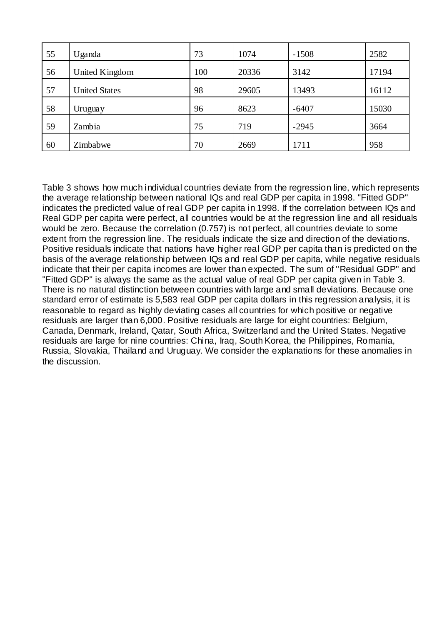| 55 | Uganda               | 73  | 1074  | $-1508$ | 2582  |
|----|----------------------|-----|-------|---------|-------|
| 56 | United Kingdom       | 100 | 20336 | 3142    | 17194 |
| 57 | <b>United States</b> | 98  | 29605 | 13493   | 16112 |
| 58 | Uruguay              | 96  | 8623  | $-6407$ | 15030 |
| 59 | Zambia               | 75  | 719   | $-2945$ | 3664  |
| 60 | Zimbabwe             | 70  | 2669  | 1711    | 958   |

Table 3 shows how much individual countries deviate from the regression line, which represents the average relationship between national IQs and real GDP per capita in 1998. "Fitted GDP" indicates the predicted value of real GDP per capita in 1998. If the correlation between IQs and Real GDP per capita were perfect, all countries would be at the regression line and all residuals would be zero. Because the correlation (0.757) is not perfect, all countries deviate to some extent from the regression line. The residuals indicate the size and direction of the deviations. Positive residuals indicate that nations have higher real GDP per capita than is predicted on the basis of the average relationship between IQs and real GDP per capita, while negative residuals indicate that their per capita incomes are lower than expected. The sum of "Residual GDP" and "Fitted GDP" is always the same as the actual value of real GDP per capita given in Table 3. There is no natural distinction between countries with large and small deviations. Because one standard error of estimate is 5,583 real GDP per capita dollars in this regression analysis, it is reasonable to regard as highly deviating cases all countries for which positive or negative residuals are larger than 6,000. Positive residuals are large for eight countries: Belgium, Canada, Denmark, Ireland, Qatar, South Africa, Switzerland and the United States. Negative residuals are large for nine countries: China, Iraq, South Korea, the Philippines, Romania, Russia, Slovakia, Thailand and Uruguay. We consider the explanations for these anomalies in the discussion.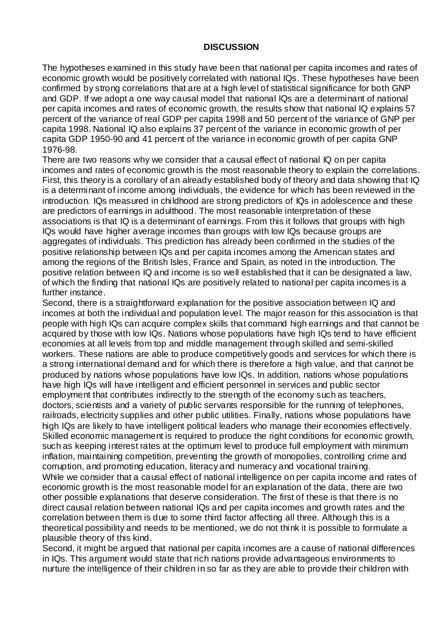# **DISCUSSION**

The hypotheses examined in this study have been that national per capita incomes and rates of economic growth would be positively correlated with national IQs. These hypotheses have been confirmed by strong correlations that are at a high level of statistical significance for both GNP and GDP. If we adopt a one way causal model that national IQs are a determinant of national per capita incomes and rates of economic growth, the results show that national IQ explains 57 percent of the variance of real GDP per capita 1998 and 50 percent of the variance of GNP per capita 1998. National IQ also explains 37 percent of the variance in economic growth of per capita GDP 1950-90 and 41 percent of the variance in economic growth of per capita GNP 1976-98.

There are two reasons why we consider that a causal effect of national IQ on per capita incomes and rates of economic growth is the most reasonable theory to explain the correlations. First, this theory is a corollary of an already established body of theory and data showing that IQ is a determinant of income among individuals, the evidence for which has been reviewed in the introduction. IQs measured in childhood are strong predictors of IQs in adolescence and these are predictors of earnings in adulthood. The most reasonable interpretation of these associations is that IQ is a determinant of earnings. From this it follows that groups with high IQs would have higher average incomes than groups with low IQs because groups are aggregates of individuals. This prediction has already been confirmed in the studies of the positive relationship between IQs and per capita incomes among the American states and among the regions of the British Isles, France and Spain, as noted in the introduction. The positive relation between IQ and income is so well established that it can be designated a law, of which the finding that national IQs are positively related to national per capita incomes is a further instance.

Second, there is a straightforward explanation for the positive association between IQ and incomes at both the individual and population level. The major reason for this association is that people with high IQs can acquire complex skills that command high earnings and that cannot be acquired by those with low IQs. Nations whose populations have high IQs tend to have efficient economies at all levels from top and middle management through skilled and semi-skilled workers. These nations are able to produce competitively goods and services for which there is a strong international demand and for which there is therefore a high value, and that cannot be produced by nations whose populations have low IQs. In addition, nations whose populations have high IQs will have intelligent and efficient personnel in services and public sector employment that contributes indirectly to the strength of the economy such as teachers, doctors, scientists and a variety of public servants responsible for the running of telephones, railroads, electricity supplies and other public utilities. Finally, nations whose populations have high IQs are likely to have intelligent political leaders who manage their economies effectively. Skilled economic management is required to produce the right conditions for economic growth, such as keeping interest rates at the optimum level to produce full employment with minimum inflation, maintaining competition, preventing the growth of monopolies, controlling crime and corruption, and promoting education, literacy and numeracy and vocational training. While we consider that a causal effect of national intelligence on per capita income and rates of economic growth is the most reasonable model for an explanation of the data, there are two other possible explanations that deserve consideration. The first of these is that there is no direct causal relation between national IQs and per capita incomes and growth rates and the correlation between them is due to some third factor affecting all three. Although this is a theoretical possibility and needs to be mentioned, we do not think it is possible to formulate a plausible theory of this kind.

Second, it might be argued that national per capita incomes are a cause of national differences in IQs. This argument would state that rich nations provide advantageous environments to nurture the intelligence of their children in so far as they are able to provide their children with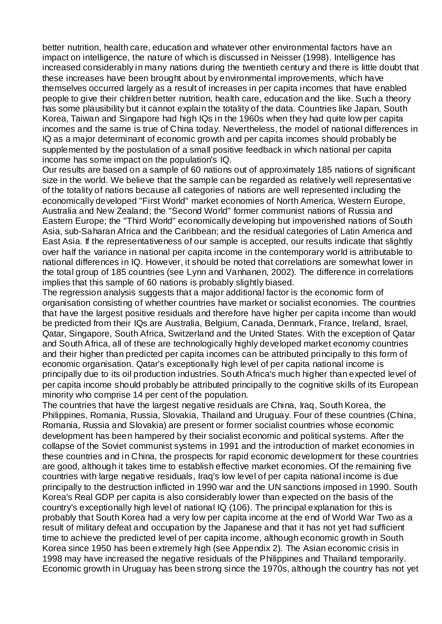better nutrition, health care, education and whatever other environmental factors have an impact on intelligence, the nature of which is discussed in Neisser (1998). Intelligence has increased considerably in many nations during the twentieth century and there is little doubt that these increases have been brought about by environmental improvements, which have themselves occurred largely as a result of increases in per capita incomes that have enabled people to give their children better nutrition, health care, education and the like. Such a theory has some plausibility but it cannot explain the totality of the data. Countries like Japan, South Korea, Taiwan and Singapore had high IQs in the 1960s when they had quite low per capita incomes and the same is true of China today. Nevertheless, the model of national differences in IQ as a major determinant of economic growth and per capita incomes should probably be supplemented by the postulation of a small positive feedback in which national per capita income has some impact on the population's IQ.

Our results are based on a sample of 60 nations out of approximately 185 nations of significant size in the world. We believe that the sample can be regarded as relatively well representative of the totality of nations because all categories of nations are well represented including the economically developed "First World" market economies of North America, Western Europe, Australia and New Zealand; the "Second World" former communist nations of Russia and Eastern Europe; the "Third World" economically developing but impoverished nations of South Asia, sub-Saharan Africa and the Caribbean; and the residual categories of Latin America and East Asia. If the representativeness of our sample is accepted, our results indicate that slightly over half the variance in national per capita income in the contemporary world is attributable to national differences in IQ. However, it should be noted that correlations are somewhat lower in the total group of 185 countries (see Lynn and Vanhanen, 2002). The difference in correlations implies that this sample of 60 nations is probably slightly biased.

The regression analysis suggests that a major additional factor is the economic form of organisation consisting of whether countries have market or socialist economies. The countries that have the largest positive residuals and therefore have higher per capita income than would be predicted from their IQs are Australia, Belgium, Canada, Denmark, France, Ireland, Israel, Qatar, Singapore, South Africa, Switzerland and the United States. With the exception of Qatar and South Africa, all of these are technologically highly developed market economy countries and their higher than predicted per capita incomes can be attributed principally to this form of economic organisation. Qatar's exceptionally high level of per capita national income is principally due to its oil production industries. South Africa's much higher than expected level of per capita income should probably be attributed principally to the cognitive skills of its European minority who comprise 14 per cent of the population.

The countries that have the largest negative residuals are China, Iraq, South Korea, the Philippines, Romania, Russia, Slovakia, Thailand and Uruguay. Four of these countries (China, Romania, Russia and Slovakia) are present or former socialist countries whose economic development has been hampered by their socialist economic and political systems. After the collapse of the Soviet communist systems in 1991 and the introduction of market economies in these countries and in China, the prospects for rapid economic development for these countries are good, although it takes time to establish effective market economies. Of the remaining five countries with large negative residuals, Iraq's low level of per capita national income is due principally to the destruction inflicted in 1990 war and the UN sanctions imposed in 1990. South Korea's Real GDP per capita is also considerably lower than expected on the basis of the country's exceptionally high level of national IQ (106). The principal explanation for this is probably that South Korea had a very low per capita income at the end of World War Two as a result of military defeat and occupation by the Japanese and that it has not yet had sufficient time to achieve the predicted level of per capita income, although economic growth in South Korea since 1950 has been extremely high (see Appendix 2). The Asian economic crisis in 1998 may have increased the negative residuals of the Philippines and Thailand temporarily. Economic growth in Uruguay has been strong since the 1970s, although the country has not yet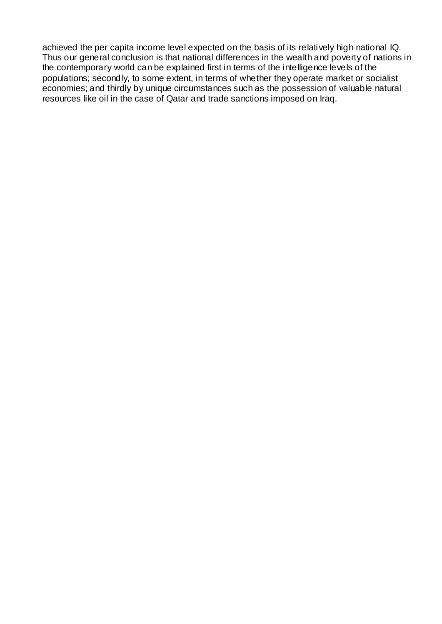achieved the per capita income level expected on the basis of its relatively high national IQ. Thus our general conclusion is that national differences in the wealth and poverty of nations in the contemporary world can be explained first in terms of the intelligence levels of the populations; secondly, to some extent, in terms of whether they operate market or socialist economies; and thirdly by unique circumstances such as the possession of valuable natural resources like oil in the case of Qatar and trade sanctions imposed on Iraq.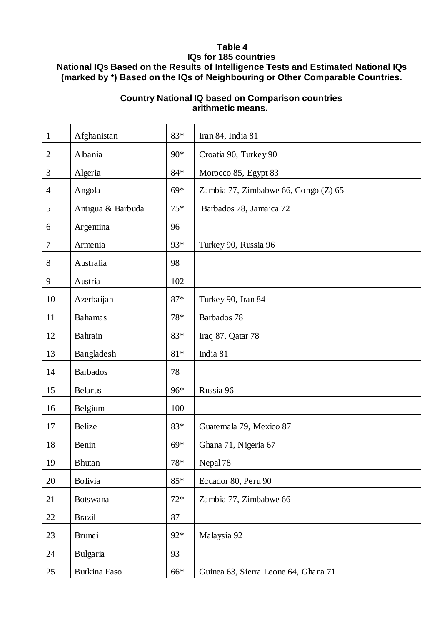# **Table 4 IQs for 185 countries National IQs Based on the Results of Intelligence Tests and Estimated National IQs (marked by \*) Based on the IQs of Neighbouring or Other Comparable Countries.**

# **Country National IQ based on Comparison countries arithmetic means.**

| $\mathbf{1}$   | Afghanistan         | 83*   | Iran 84, India 81                    |
|----------------|---------------------|-------|--------------------------------------|
| $\overline{2}$ | Albania             | 90*   | Croatia 90, Turkey 90                |
| 3              | Algeria             | $84*$ | Morocco 85, Egypt 83                 |
| $\overline{4}$ | Angola              | $69*$ | Zambia 77, Zimbabwe 66, Congo (Z) 65 |
| 5              | Antigua & Barbuda   | $75*$ | Barbados 78, Jamaica 72              |
| 6              | Argentina           | 96    |                                      |
| $\tau$         | Armenia             | 93*   | Turkey 90, Russia 96                 |
| 8              | Australia           | 98    |                                      |
| 9              | Austria             | 102   |                                      |
| 10             | Azerbaijan          | $87*$ | Turkey 90, Iran 84                   |
| 11             | <b>Bahamas</b>      | 78*   | Barbados 78                          |
| 12             | Bahrain             | 83*   | Iraq 87, Qatar 78                    |
| 13             | Bangladesh          | $81*$ | India 81                             |
| 14             | <b>Barbados</b>     | 78    |                                      |
| 15             | Belarus             | 96*   | Russia 96                            |
| 16             | Belgium             | 100   |                                      |
| 17             | Belize              | 83*   | Guatemala 79, Mexico 87              |
| 18             | Benin               | $69*$ | Ghana 71, Nigeria 67                 |
| 19             | <b>Bhutan</b>       | 78*   | Nepal <sub>78</sub>                  |
| 20             | Bolivia             | $85*$ | Ecuador 80, Peru 90                  |
| 21             | <b>Botswana</b>     | $72*$ | Zambia 77, Zimbabwe 66               |
| 22             | <b>Brazil</b>       | 87    |                                      |
| 23             | <b>Brunei</b>       | 92*   | Malaysia 92                          |
| 24             | Bulgaria            | 93    |                                      |
| 25             | <b>Burkina Faso</b> | 66*   | Guinea 63, Sierra Leone 64, Ghana 71 |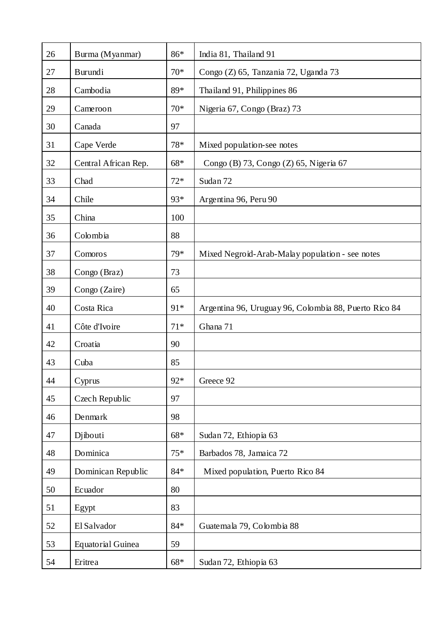| 26 | Burma (Myanmar)          | 86*   | India 81, Thailand 91                                 |
|----|--------------------------|-------|-------------------------------------------------------|
| 27 | Burundi                  | $70*$ | Congo (Z) 65, Tanzania 72, Uganda 73                  |
| 28 | Cambodia                 | 89*   | Thailand 91, Philippines 86                           |
| 29 | Cameroon                 | $70*$ | Nigeria 67, Congo (Braz) 73                           |
| 30 | Canada                   | 97    |                                                       |
| 31 | Cape Verde               | $78*$ | Mixed population-see notes                            |
| 32 | Central African Rep.     | $68*$ | Congo (B) 73, Congo (Z) 65, Nigeria 67                |
| 33 | Chad                     | $72*$ | Sudan 72                                              |
| 34 | Chile                    | 93*   | Argentina 96, Peru 90                                 |
| 35 | China                    | 100   |                                                       |
| 36 | Colombia                 | 88    |                                                       |
| 37 | Comoros                  | 79*   | Mixed Negroid-Arab-Malay population - see notes       |
| 38 | Congo (Braz)             | 73    |                                                       |
| 39 | Congo (Zaire)            | 65    |                                                       |
| 40 | Costa Rica               | 91*   | Argentina 96, Uruguay 96, Colombia 88, Puerto Rico 84 |
| 41 | Côte d'Ivoire            | $71*$ | Ghana 71                                              |
| 42 | Croatia                  | 90    |                                                       |
| 43 | Cuba                     | 85    |                                                       |
| 44 | Cyprus                   | 92*   | Greece 92                                             |
| 45 | Czech Republic           | 97    |                                                       |
| 46 | Denmark                  | 98    |                                                       |
| 47 | Djibouti                 | $68*$ | Sudan 72, Ethiopia 63                                 |
| 48 | Dominica                 | $75*$ | Barbados 78, Jamaica 72                               |
| 49 | Dominican Republic       | $84*$ | Mixed population, Puerto Rico 84                      |
| 50 | Ecuador                  | 80    |                                                       |
| 51 | Egypt                    | 83    |                                                       |
| 52 | El Salvador              | $84*$ | Guatemala 79, Colombia 88                             |
| 53 | <b>Equatorial Guinea</b> | 59    |                                                       |
| 54 | Eritrea                  | $68*$ | Sudan 72, Ethiopia 63                                 |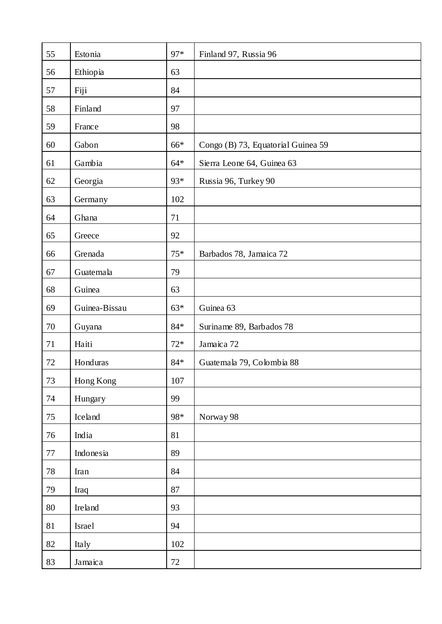| 55 | Estonia       | 97*     | Finland 97, Russia 96              |
|----|---------------|---------|------------------------------------|
| 56 | Ethiopia      | 63      |                                    |
| 57 | Fiji          | 84      |                                    |
| 58 | Finland       | 97      |                                    |
| 59 | France        | 98      |                                    |
| 60 | Gabon         | 66*     | Congo (B) 73, Equatorial Guinea 59 |
| 61 | Gambia        | $64*$   | Sierra Leone 64, Guinea 63         |
| 62 | Georgia       | 93*     | Russia 96, Turkey 90               |
| 63 | Germany       | 102     |                                    |
| 64 | Ghana         | 71      |                                    |
| 65 | Greece        | 92      |                                    |
| 66 | Grenada       | $75*$   | Barbados 78, Jamaica 72            |
| 67 | Guatemala     | 79      |                                    |
| 68 | Guinea        | 63      |                                    |
| 69 | Guinea-Bissau | $63*$   | Guinea 63                          |
| 70 | Guyana        | $84*$   | Suriname 89, Barbados 78           |
| 71 | Haiti         | $72*$   | Jamaica 72                         |
| 72 | Honduras      | $84*$   | Guatemala 79, Colombia 88          |
| 73 | Hong Kong     | $107\,$ |                                    |
| 74 | Hungary       | 99      |                                    |
| 75 | Iceland       | 98*     | Norway 98                          |
| 76 | India         | 81      |                                    |
| 77 | Indonesia     | 89      |                                    |
| 78 | Iran          | 84      |                                    |
| 79 | Iraq          | 87      |                                    |
| 80 | Ireland       | 93      |                                    |
| 81 | Israel        | 94      |                                    |
| 82 | Italy         | 102     |                                    |
| 83 | Jamaica       | $72\,$  |                                    |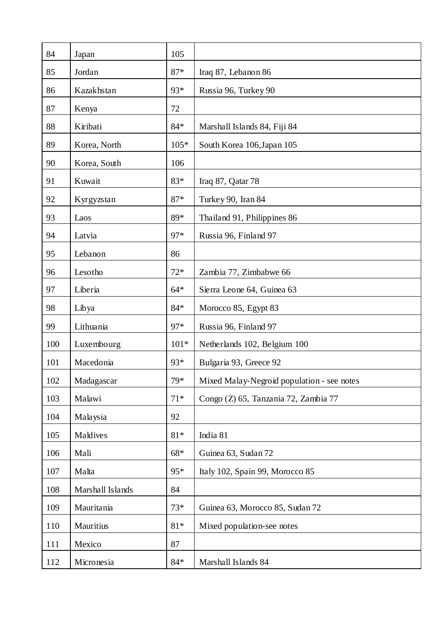| 84  | Japan            | 105    |                                            |
|-----|------------------|--------|--------------------------------------------|
| 85  | Jordan           | $87*$  | Iraq 87, Lebanon 86                        |
| 86  | Kazakhstan       | 93*    | Russia 96, Turkey 90                       |
| 87  | Kenya            | 72     |                                            |
| 88  | Kiribati         | $84*$  | Marshall Islands 84, Fiji 84               |
| 89  | Korea, North     | $105*$ | South Korea 106, Japan 105                 |
| 90  | Korea, South     | 106    |                                            |
| 91  | Kuwait           | 83*    | Iraq 87, Qatar 78                          |
| 92  | Kyrgyzstan       | $87*$  | Turkey 90, Iran 84                         |
| 93  | Laos             | 89*    | Thailand 91, Philippines 86                |
| 94  | Latvia           | 97*    | Russia 96, Finland 97                      |
| 95  | Lebanon          | 86     |                                            |
| 96  | Lesotho          | $72*$  | Zambia 77, Zimbabwe 66                     |
| 97  | Liberia          | $64*$  | Sierra Leone 64, Guinea 63                 |
| 98  | Libya            | $84*$  | Morocco 85, Egypt 83                       |
| 99  | Lithuania        | 97*    | Russia 96, Finland 97                      |
| 100 | Luxembourg       | $101*$ | Netherlands 102, Belgium 100               |
| 101 | Macedonia        | 93*    | Bulgaria 93, Greece 92                     |
| 102 | Madagascar       | 79*    | Mixed Malay-Negroid population - see notes |
| 103 | Malawi           | $71*$  | Congo (Z) 65, Tanzania 72, Zambia 77       |
| 104 | Malaysia         | 92     |                                            |
| 105 | Maldives         | $81*$  | India 81                                   |
| 106 | Mali             | $68*$  | Guinea 63, Sudan 72                        |
| 107 | Malta            | 95*    | Italy 102, Spain 99, Morocco 85            |
| 108 | Marshall Islands | 84     |                                            |
| 109 | Mauritania       | $73*$  | Guinea 63, Morocco 85, Sudan 72            |
| 110 | Mauritius        | $81*$  | Mixed population-see notes                 |
| 111 | Mexico           | 87     |                                            |
| 112 | Micronesia       | $84*$  | Marshall Islands 84                        |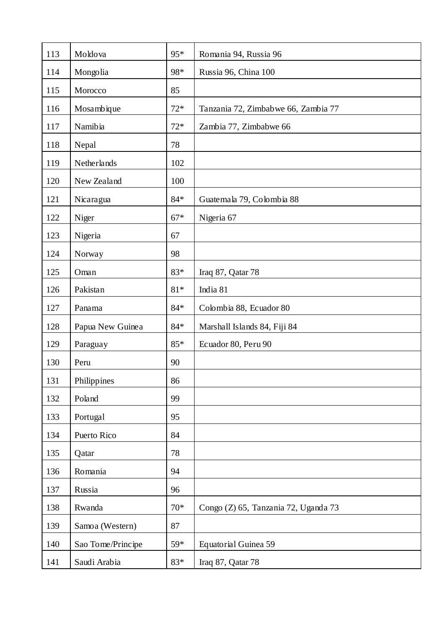| 113 | Moldova           | 95*            | Romania 94, Russia 96                |
|-----|-------------------|----------------|--------------------------------------|
| 114 | Mongolia          | 98*            | Russia 96, China 100                 |
| 115 | Morocco           | 85             |                                      |
| 116 | Mosambique        | $72*$          | Tanzania 72, Zimbabwe 66, Zambia 77  |
| 117 | Namibia           | $72*$          | Zambia 77, Zimbabwe 66               |
| 118 | Nepal             | 78             |                                      |
| 119 | Netherlands       | 102            |                                      |
| 120 | New Zealand       | 100            |                                      |
| 121 | Nicaragua         | $84*$          | Guatemala 79, Colombia 88            |
| 122 | Niger             | $67*$          | Nigeria 67                           |
| 123 | Nigeria           | 67             |                                      |
| 124 | Norway            | 98             |                                      |
| 125 | Oman              | 83*            | Iraq 87, Qatar 78                    |
| 126 | Pakistan          | $81\mathrm{*}$ | India 81                             |
| 127 | Panama            | 84*            | Colombia 88, Ecuador 80              |
| 128 | Papua New Guinea  | 84*            | Marshall Islands 84, Fiji 84         |
| 129 | Paraguay          | 85*            | Ecuador 80, Peru 90                  |
| 130 | Peru              | 90             |                                      |
| 131 | Philippines       | 86             |                                      |
| 132 | Poland            | 99             |                                      |
| 133 | Portugal          | 95             |                                      |
| 134 | Puerto Rico       | 84             |                                      |
| 135 | Qatar             | 78             |                                      |
| 136 | Romania           | 94             |                                      |
| 137 | Russia            | 96             |                                      |
| 138 | Rwanda            | $70*$          | Congo (Z) 65, Tanzania 72, Uganda 73 |
| 139 | Samoa (Western)   | 87             |                                      |
| 140 | Sao Tome/Principe | 59*            | Equatorial Guinea 59                 |
| 141 | Saudi Arabia      | 83*            | Iraq 87, Qatar 78                    |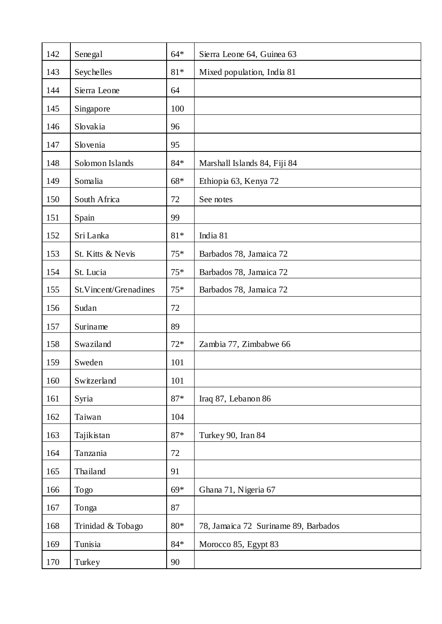| 142 | Senegal               | $64*$ | Sierra Leone 64, Guinea 63           |
|-----|-----------------------|-------|--------------------------------------|
| 143 | Seychelles            | $81*$ | Mixed population, India 81           |
| 144 | Sierra Leone          | 64    |                                      |
| 145 | Singapore             | 100   |                                      |
| 146 | Slovakia              | 96    |                                      |
| 147 | Slovenia              | 95    |                                      |
| 148 | Solomon Islands       | $84*$ | Marshall Islands 84, Fiji 84         |
| 149 | Somalia               | $68*$ | Ethiopia 63, Kenya 72                |
| 150 | South Africa          | 72    | See notes                            |
| 151 | Spain                 | 99    |                                      |
| 152 | Sri Lanka             | $81*$ | India 81                             |
| 153 | St. Kitts & Nevis     | $75*$ | Barbados 78, Jamaica 72              |
| 154 | St. Lucia             | $75*$ | Barbados 78, Jamaica 72              |
| 155 | St.Vincent/Grenadines | $75*$ | Barbados 78, Jamaica 72              |
| 156 | Sudan                 | 72    |                                      |
| 157 | Suriname              | 89    |                                      |
| 158 | Swaziland             | $72*$ | Zambia 77, Zimbabwe 66               |
| 159 | Sweden                | 101   |                                      |
| 160 | Switzerland           | 101   |                                      |
| 161 | Syria                 | $87*$ | Iraq 87, Lebanon 86                  |
| 162 | Taiwan                | 104   |                                      |
| 163 | Tajikistan            | $87*$ | Turkey 90, Iran 84                   |
| 164 | Tanzania              | 72    |                                      |
| 165 | Thailand              | 91    |                                      |
| 166 | Togo                  | $69*$ | Ghana 71, Nigeria 67                 |
| 167 | Tonga                 | 87    |                                      |
| 168 | Trinidad & Tobago     | $80*$ | 78, Jamaica 72 Suriname 89, Barbados |
| 169 | Tunisia               | $84*$ | Morocco 85, Egypt 83                 |
| 170 | Turkey                | 90    |                                      |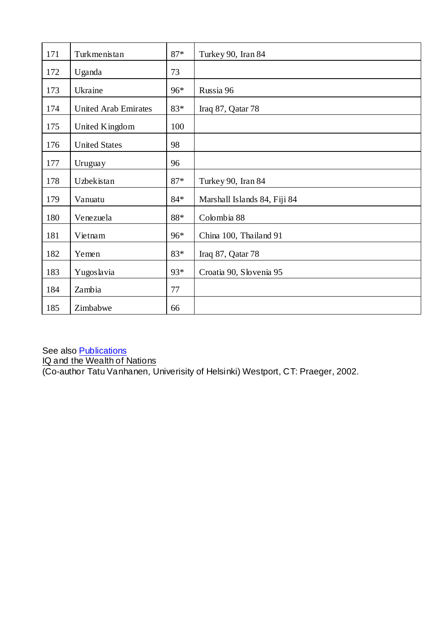| 171 | Turkmenistan                | $87*$ | Turkey 90, Iran 84           |
|-----|-----------------------------|-------|------------------------------|
| 172 | Uganda                      | 73    |                              |
| 173 | Ukraine                     | 96*   | Russia 96                    |
| 174 | <b>United Arab Emirates</b> | 83*   | Iraq 87, Qatar 78            |
| 175 | United Kingdom              | 100   |                              |
| 176 | <b>United States</b>        | 98    |                              |
| 177 | Uruguay                     | 96    |                              |
| 178 | Uzbekistan                  | $87*$ | Turkey 90, Iran 84           |
| 179 | Vanuatu                     | $84*$ | Marshall Islands 84, Fiji 84 |
| 180 | Venezuela                   | 88*   | Colombia 88                  |
| 181 | Vietnam                     | 96*   | China 100, Thailand 91       |
| 182 | Yemen                       | 83*   | Iraq 87, Qatar 78            |
| 183 | Yugoslavia                  | 93*   | Croatia 90, Slovenia 95      |
| 184 | Zambia                      | 77    |                              |
| 185 | Zimbabwe                    | 66    |                              |

See also **Publications** IQ and the Wealth of Nations (Co-author Tatu Vanhanen, Univerisity of Helsinki) Westport, CT: Praeger, 2002.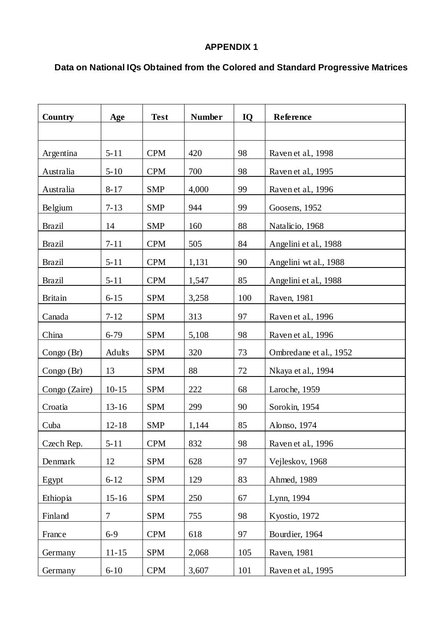# **APPENDIX 1**

# **Data on National IQs Obtained from the Colored and Standard Progressive Matrices**

| Country        | Age       | <b>Test</b> | <b>Number</b> | IQ     | Reference              |
|----------------|-----------|-------------|---------------|--------|------------------------|
|                |           |             |               |        |                        |
| Argentina      | $5 - 11$  | <b>CPM</b>  | 420           | 98     | Raven et al., 1998     |
| Australia      | $5 - 10$  | <b>CPM</b>  | 700           | 98     | Raven et al., 1995     |
| Australia      | $8 - 17$  | <b>SMP</b>  | 4,000         | 99     | Raven et al., 1996     |
| Belgium        | $7 - 13$  | <b>SMP</b>  | 944           | 99     | Goosens, 1952          |
| <b>Brazil</b>  | 14        | <b>SMP</b>  | 160           | 88     | Natalicio, 1968        |
| <b>Brazil</b>  | $7 - 11$  | <b>CPM</b>  | 505           | 84     | Angelini et al., 1988  |
| <b>Brazil</b>  | $5 - 11$  | <b>CPM</b>  | 1,131         | 90     | Angelini wt al., 1988  |
| <b>Brazil</b>  | $5 - 11$  | <b>CPM</b>  | 1,547         | 85     | Angelini et al., 1988  |
| <b>Britain</b> | $6 - 15$  | <b>SPM</b>  | 3,258         | 100    | Raven, 1981            |
| Canada         | $7 - 12$  | <b>SPM</b>  | 313           | 97     | Raven et al., 1996     |
| China          | $6 - 79$  | <b>SPM</b>  | 5,108         | 98     | Raven et al., 1996     |
| Congo $(Br)$   | Adults    | <b>SPM</b>  | 320           | 73     | Ombredane et al., 1952 |
| Congo (Br)     | 13        | <b>SPM</b>  | 88            | $72\,$ | Nkaya et al., 1994     |
| Congo (Zaire)  | $10 - 15$ | <b>SPM</b>  | 222           | 68     | Laroche, 1959          |
| Croatia        | $13 - 16$ | <b>SPM</b>  | 299           | 90     | Sorokin, 1954          |
| Cuba           | $12 - 18$ | <b>SMP</b>  | 1,144         | 85     | Alonso, 1974           |
| Czech Rep.     | $5 - 11$  | <b>CPM</b>  | 832           | 98     | Raven et al., 1996     |
| Denmark        | 12        | <b>SPM</b>  | 628           | 97     | Vejleskov, 1968        |
| Egypt          | $6 - 12$  | <b>SPM</b>  | 129           | 83     | Ahmed, 1989            |
| Ethiopia       | $15 - 16$ | <b>SPM</b>  | 250           | 67     | Lynn, 1994             |
| Finland        | $\tau$    | <b>SPM</b>  | 755           | 98     | Kyostio, 1972          |
| France         | $6 - 9$   | <b>CPM</b>  | 618           | 97     | Bourdier, 1964         |
| Germany        | $11 - 15$ | <b>SPM</b>  | 2,068         | 105    | Raven, 1981            |
| Germany        | $6 - 10$  | <b>CPM</b>  | 3,607         | 101    | Raven et al., 1995     |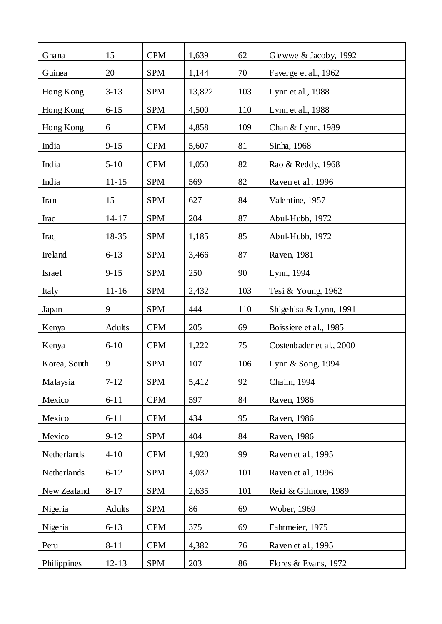| Ghana        | 15        | <b>CPM</b> | 1,639  | 62  | Glewwe & Jacoby, 1992    |
|--------------|-----------|------------|--------|-----|--------------------------|
| Guinea       | 20        | <b>SPM</b> | 1,144  | 70  | Faverge et al., 1962     |
| Hong Kong    | $3 - 13$  | <b>SPM</b> | 13,822 | 103 | Lynn et al., 1988        |
| Hong Kong    | $6 - 15$  | <b>SPM</b> | 4,500  | 110 | Lynn et al., 1988        |
| Hong Kong    | 6         | <b>CPM</b> | 4,858  | 109 | Chan & Lynn, 1989        |
| India        | $9 - 15$  | <b>CPM</b> | 5,607  | 81  | Sinha, 1968              |
| India        | $5 - 10$  | <b>CPM</b> | 1,050  | 82  | Rao & Reddy, 1968        |
| India        | $11 - 15$ | <b>SPM</b> | 569    | 82  | Raven et al., 1996       |
| Iran         | 15        | <b>SPM</b> | 627    | 84  | Valentine, 1957          |
| Iraq         | $14 - 17$ | <b>SPM</b> | 204    | 87  | Abul-Hubb, 1972          |
| Iraq         | 18-35     | <b>SPM</b> | 1,185  | 85  | Abul-Hubb, 1972          |
| Ireland      | $6 - 13$  | <b>SPM</b> | 3,466  | 87  | Raven, 1981              |
| Israel       | $9 - 15$  | <b>SPM</b> | 250    | 90  | Lynn, 1994               |
| Italy        | $11 - 16$ | <b>SPM</b> | 2,432  | 103 | Tesi & Young, 1962       |
| Japan        | 9         | <b>SPM</b> | 444    | 110 | Shigehisa & Lynn, 1991   |
| Kenya        | Adults    | <b>CPM</b> | 205    | 69  | Boissiere et al., 1985   |
| Kenya        | $6 - 10$  | <b>CPM</b> | 1,222  | 75  | Costenbader et al., 2000 |
| Korea, South | 9         | <b>SPM</b> | 107    | 106 | Lynn & Song, 1994        |
| Malaysia     | $7 - 12$  | <b>SPM</b> | 5,412  | 92  | Chaim, 1994              |
| Mexico       | $6 - 11$  | <b>CPM</b> | 597    | 84  | Raven, 1986              |
| Mexico       | $6 - 11$  | <b>CPM</b> | 434    | 95  | Raven, 1986              |
| Mexico       | $9 - 12$  | <b>SPM</b> | 404    | 84  | Raven, 1986              |
| Netherlands  | $4 - 10$  | <b>CPM</b> | 1,920  | 99  | Raven et al., 1995       |
| Netherlands  | $6 - 12$  | <b>SPM</b> | 4,032  | 101 | Raven et al., 1996       |
| New Zealand  | $8 - 17$  | <b>SPM</b> | 2,635  | 101 | Reid & Gilmore, 1989     |
| Nigeria      | Adults    | <b>SPM</b> | 86     | 69  | Wober, 1969              |
| Nigeria      | $6 - 13$  | <b>CPM</b> | 375    | 69  | Fahrmeier, 1975          |
| Peru         | $8 - 11$  | <b>CPM</b> | 4,382  | 76  | Raven et al., 1995       |
| Philippines  | $12 - 13$ | <b>SPM</b> | 203    | 86  | Flores & Evans, 1972     |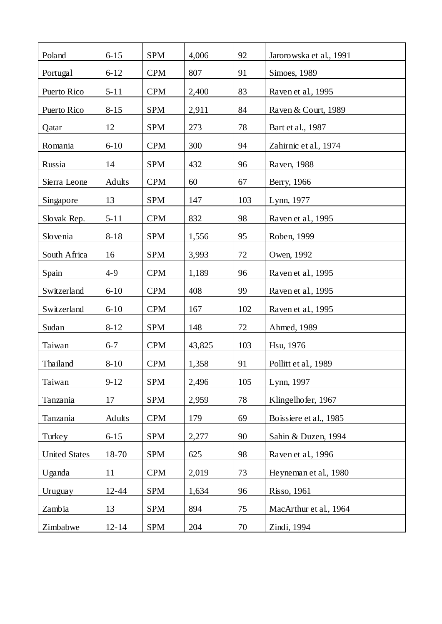| Poland               | $6 - 15$  | <b>SPM</b> | 4,006  | 92     | Jarorowska et al., 1991 |
|----------------------|-----------|------------|--------|--------|-------------------------|
| Portugal             | $6 - 12$  | <b>CPM</b> | 807    | 91     | Simoes, 1989            |
| Puerto Rico          | $5 - 11$  | <b>CPM</b> | 2,400  | 83     | Raven et al., 1995      |
| Puerto Rico          | $8 - 15$  | <b>SPM</b> | 2,911  | 84     | Raven & Court, 1989     |
| Qatar                | 12        | <b>SPM</b> | 273    | 78     | Bart et al., 1987       |
| Romania              | $6 - 10$  | <b>CPM</b> | 300    | 94     | Zahirnic et al., 1974   |
| Russia               | 14        | <b>SPM</b> | 432    | 96     | Raven, 1988             |
| Sierra Leone         | Adults    | <b>CPM</b> | 60     | 67     | Berry, 1966             |
| Singapore            | 13        | <b>SPM</b> | 147    | 103    | Lynn, 1977              |
| Slovak Rep.          | $5 - 11$  | <b>CPM</b> | 832    | 98     | Raven et al., 1995      |
| Slovenia             | $8 - 18$  | <b>SPM</b> | 1,556  | 95     | Roben, 1999             |
| South Africa         | 16        | <b>SPM</b> | 3,993  | $72\,$ | Owen, 1992              |
| Spain                | $4-9$     | <b>CPM</b> | 1,189  | 96     | Raven et al., 1995      |
| Switzerland          | $6 - 10$  | <b>CPM</b> | 408    | 99     | Raven et al., 1995      |
| Switzerland          | $6 - 10$  | <b>CPM</b> | 167    | 102    | Raven et al., 1995      |
| Sudan                | $8 - 12$  | <b>SPM</b> | 148    | 72     | Ahmed, 1989             |
| Taiwan               | $6 - 7$   | <b>CPM</b> | 43,825 | 103    | Hsu, 1976               |
| Thailand             | $8 - 10$  | <b>CPM</b> | 1,358  | 91     | Pollitt et al., 1989    |
| Taiwan               | $9 - 12$  | <b>SPM</b> | 2,496  | 105    | Lynn, 1997              |
| Tanzania             | 17        | <b>SPM</b> | 2,959  | 78     | Klingelhofer, 1967      |
| Tanzania             | Adults    | <b>CPM</b> | 179    | 69     | Boissiere et al., 1985  |
| Turkey               | $6 - 15$  | <b>SPM</b> | 2,277  | 90     | Sahin & Duzen, 1994     |
| <b>United States</b> | 18-70     | <b>SPM</b> | 625    | 98     | Raven et al., 1996      |
| Uganda               | 11        | <b>CPM</b> | 2,019  | 73     | Heyneman et al., 1980   |
| Uruguay              | $12 - 44$ | <b>SPM</b> | 1,634  | 96     | <b>Risso, 1961</b>      |
| Zambia               | 13        | <b>SPM</b> | 894    | 75     | MacArthur et al., 1964  |
| Zimbabwe             | $12 - 14$ | <b>SPM</b> | 204    | 70     | Zindi, 1994             |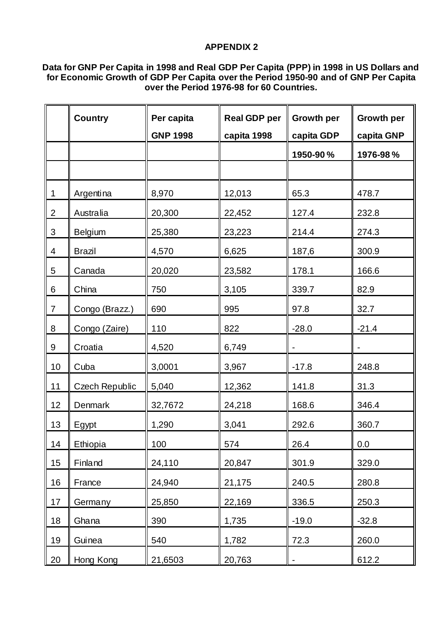# **APPENDIX 2**

### **Data for GNP Per Capita in 1998 and Real GDP Per Capita (PPP) in 1998 in US Dollars and for Economic Growth of GDP Per Capita over the Period 1950-90 and of GNP Per Capita over the Period 1976-98 for 60 Countries.**

|                | <b>Country</b> | Per capita      | <b>Real GDP per</b> | <b>Growth per</b> | <b>Growth per</b> |
|----------------|----------------|-----------------|---------------------|-------------------|-------------------|
|                |                | <b>GNP 1998</b> | capita 1998         | capita GDP        | capita GNP        |
|                |                |                 |                     | 1950-90%          | 1976-98%          |
|                |                |                 |                     |                   |                   |
| 1              | Argentina      | 8,970           | 12,013              | 65.3              | 478.7             |
| $\overline{2}$ | Australia      | 20,300          | 22,452              | 127.4             | 232.8             |
| 3              | <b>Belgium</b> | 25,380          | 23,223              | 214.4             | 274.3             |
| 4              | <b>Brazil</b>  | 4,570           | 6,625               | 187,6             | 300.9             |
| 5              | Canada         | 20,020          | 23,582              | 178.1             | 166.6             |
| 6              | China          | 750             | 3,105               | 339.7             | 82.9              |
| 7              | Congo (Brazz.) | 690             | 995                 | 97.8              | 32.7              |
| 8              | Congo (Zaire)  | 110             | 822                 | $-28.0$           | $-21.4$           |
| 9              | Croatia        | 4,520           | 6,749               |                   |                   |
| 10             | Cuba           | 3,0001          | 3,967               | $-17.8$           | 248.8             |
| 11             | Czech Republic | 5,040           | 12,362              | 141.8             | 31.3              |
| 12             | Denmark        | 32,7672         | 24,218              | 168.6             | 346.4             |
| 13             | Egypt          | 1,290           | 3,041               | 292.6             | 360.7             |
| 14             | Ethiopia       | 100             | 574                 | 26.4              | 0.0               |
| 15             | Finland        | 24,110          | 20,847              | 301.9             | 329.0             |
| 16             | France         | 24,940          | 21,175              | 240.5             | 280.8             |
| 17             | Germany        | 25,850          | 22,169              | 336.5             | 250.3             |
| 18             | Ghana          | 390             | 1,735               | $-19.0$           | $-32.8$           |
| 19             | Guinea         | 540             | 1,782               | 72.3              | 260.0             |
| 20             | Hong Kong      | 21,6503         | 20,763              |                   | 612.2             |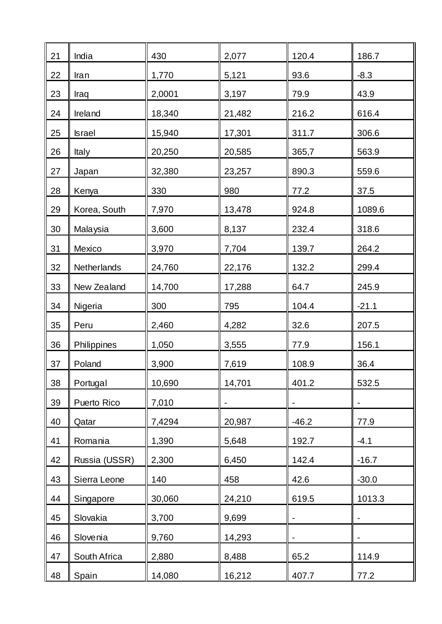| 21 | India         | 430    | 2,077  | 120.4                    | 186.7       |
|----|---------------|--------|--------|--------------------------|-------------|
| 22 | Iran          | 1,770  | 5,121  | 93.6                     | $-8.3$      |
| 23 | Iraq          | 2,0001 | 3,197  | 79.9                     | 43.9        |
| 24 | Ireland       | 18,340 | 21,482 | 216.2                    | 616.4       |
| 25 | <b>Israel</b> | 15,940 | 17,301 | 311.7                    | 306.6       |
| 26 | Italy         | 20,250 | 20,585 | 365,7                    | 563.9       |
| 27 | Japan         | 32,380 | 23,257 | 890.3                    | 559.6       |
| 28 | Kenya         | 330    | 980    | 77.2                     | 37.5        |
| 29 | Korea, South  | 7,970  | 13,478 | 924.8                    | 1089.6      |
| 30 | Malaysia      | 3,600  | 8,137  | 232.4                    | 318.6       |
| 31 | Mexico        | 3,970  | 7,704  | 139.7                    | 264.2       |
| 32 | Netherlands   | 24,760 | 22,176 | 132.2                    | 299.4       |
| 33 | New Zealand   | 14,700 | 17,288 | 64.7                     | 245.9       |
| 34 | Nigeria       | 300    | 795    | 104.4                    | $-21.1$     |
| 35 | Peru          | 2,460  | 4,282  | 32.6                     | 207.5       |
| 36 | Philippines   | 1,050  | 3,555  | 77.9                     | 156.1       |
| 37 | Poland        | 3,900  | 7,619  | 108.9                    | <u>36.4</u> |
| 38 | Portugal      | 10,690 | 14,701 | 401.2                    | 532.5       |
| 39 | Puerto Rico   | 7,010  |        |                          |             |
| 40 | Qatar         | 7,4294 | 20,987 | $-46.2$                  | 77.9        |
| 41 | Romania       | 1,390  | 5,648  | 192.7                    | $-4.1$      |
| 42 | Russia (USSR) | 2,300  | 6,450  | 142.4                    | $-16.7$     |
| 43 | Sierra Leone  | 140    | 458    | 42.6                     | $-30.0$     |
| 44 | Singapore     | 30,060 | 24,210 | 619.5                    | 1013.3      |
| 45 | Slovakia      | 3,700  | 9,699  |                          |             |
| 46 | Slovenia      | 9,760  | 14,293 | $\overline{\phantom{a}}$ |             |
| 47 | South Africa  | 2,880  | 8,488  | 65.2                     | 114.9       |
| 48 | Spain         | 14,080 | 16,212 | 407.7                    | 77.2        |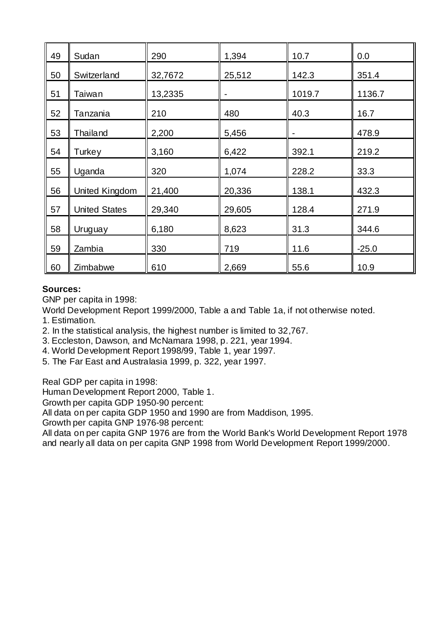| 49 | Sudan                | 290     | 1,394  | 10.7                     | 0.0     |
|----|----------------------|---------|--------|--------------------------|---------|
| 50 | Switzerland          | 32,7672 | 25,512 | 142.3                    | 351.4   |
| 51 | Taiwan               | 13,2335 | -      | 1019.7                   | 1136.7  |
| 52 | Tanzania             | 210     | 480    | 40.3                     | 16.7    |
| 53 | Thailand             | 2,200   | 5,456  | $\overline{\phantom{0}}$ | 478.9   |
| 54 | Turkey               | 3,160   | 6,422  | 392.1                    | 219.2   |
| 55 | Uganda               | 320     | 1,074  | 228.2                    | 33.3    |
| 56 | United Kingdom       | 21,400  | 20,336 | 138.1                    | 432.3   |
| 57 | <b>United States</b> | 29,340  | 29,605 | 128.4                    | 271.9   |
| 58 | Uruguay              | 6,180   | 8,623  | 31.3                     | 344.6   |
| 59 | Zambia               | 330     | 719    | 11.6                     | $-25.0$ |
| 60 | Zimbabwe             | 610     | 2,669  | 55.6                     | 10.9    |

# **Sources:**

GNP per capita in 1998:

World Development Report 1999/2000, Table a and Table 1a, if not otherwise noted.

1. Estimation.

2. In the statistical analysis, the highest number is limited to 32,767.

3. Eccleston, Dawson, and McNamara 1998, p. 221, year 1994.

4. World Development Report 1998/99, Table 1, year 1997.

5. The Far East and Australasia 1999, p. 322, year 1997.

Real GDP per capita in 1998:

Human Development Report 2000, Table 1.

Growth per capita GDP 1950-90 percent:

All data on per capita GDP 1950 and 1990 are from Maddison, 1995.

Growth per capita GNP 1976-98 percent:

All data on per capita GNP 1976 are from the World Bank's World Development Report 1978 and nearly all data on per capita GNP 1998 from World Development Report 1999/2000.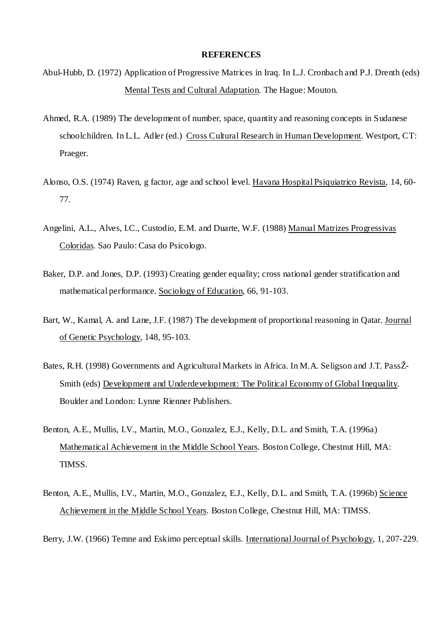#### **REFERENCES**

- Abul-Hubb, D. (1972) Application of Progressive Matrices in Iraq. In L.J. Cronbach and P.J. Drenth (eds) Mental Tests and Cultural Adaptation. The Hague: Mouton.
- Ahmed, R.A. (1989) The development of number, space, quantity and reasoning concepts in Sudanese schoolchildren. In L.L. Adler (ed.) Cross Cultural Research in Human Development. Westport, CT: Praeger.
- Alonso, O.S. (1974) Raven, g factor, age and school level. Havana Hospital Psiquiatrico Revista, 14, 60- 77.
- Angelini, A.L., Alves, I.C., Custodio, E.M. and Duarte, W.F. (1988) Manual Matrizes Progressivas Coloridas. Sao Paulo: Casa do Psicologo.
- Baker, D.P. and Jones, D.P. (1993) Creating gender equality; cross national gender stratification and mathematical performance. Sociology of Education, 66, 91-103.
- Bart, W., Kamal, A. and Lane, J.F. (1987) The development of proportional reasoning in Qatar. Journal of Genetic Psychology, 148, 95-103.
- Bates, R.H. (1998) Governments and Agricultural Markets in Africa. In M.A. Seligson and J.T. PassŽ-Smith (eds) Development and Underdevelopment: The Political Economy of Global Inequality. Boulder and London: Lynne Rienner Publishers.
- Benton, A.E., Mullis, I.V., Martin, M.O., Gonzalez, E.J., Kelly, D.L. and Smith, T.A. (1996a) Mathematical Achievement in the Middle School Years. Boston College, Chestnut Hill, MA: TIMSS.
- Benton, A.E., Mullis, I.V., Martin, M.O., Gonzalez, E.J., Kelly, D.L. and Smith, T.A. (1996b) Science Achievement in the Middle School Years. Boston College, Chestnut Hill, MA: TIMSS.

Berry, J.W. (1966) Temne and Eskimo perceptual skills. International Journal of Psychology, 1, 207-229.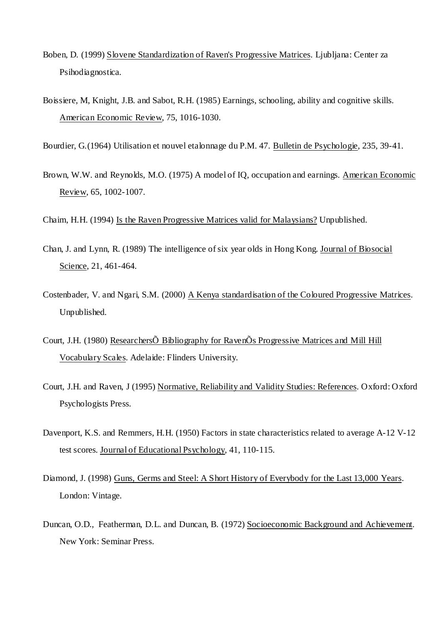- Boben, D. (1999) Slovene Standardization of Raven's Progressive Matrices. Ljubljana: Center za Psihodiagnostica.
- Boissiere, M, Knight, J.B. and Sabot, R.H. (1985) Earnings, schooling, ability and cognitive skills. American Economic Review, 75, 1016-1030.

Bourdier, G.(1964) Utilisation et nouvel etalonnage du P.M. 47. Bulletin de Psychologie, 235, 39-41.

Brown, W.W. and Reynolds, M.O. (1975) A model of IQ, occupation and earnings. American Economic Review, 65, 1002-1007.

Chaim, H.H. (1994) Is the Raven Progressive Matrices valid for Malaysians? Unpublished.

- Chan, J. and Lynn, R. (1989) The intelligence of six year olds in Hong Kong. Journal of Biosocial Science, 21, 461-464.
- Costenbader, V. and Ngari, S.M. (2000) A Kenya standardisation of the Coloured Progressive Matrices. Unpublished.
- Court, J.H. (1980) ResearchersÕ Bibliography for RavenÕs Progressive Matrices and Mill Hill Vocabulary Scales. Adelaide: Flinders University.
- Court, J.H. and Raven, J (1995) Normative, Reliability and Validity Studies: References. Oxford: Oxford Psychologists Press.
- Davenport, K.S. and Remmers, H.H. (1950) Factors in state characteristics related to average A-12 V-12 test scores. Journal of Educational Psychology, 41, 110-115.
- Diamond, J. (1998) Guns, Germs and Steel: A Short History of Everybody for the Last 13,000 Years. London: Vintage.
- Duncan, O.D., Featherman, D.L. and Duncan, B. (1972) Socioeconomic Background and Achievement. New York: Seminar Press.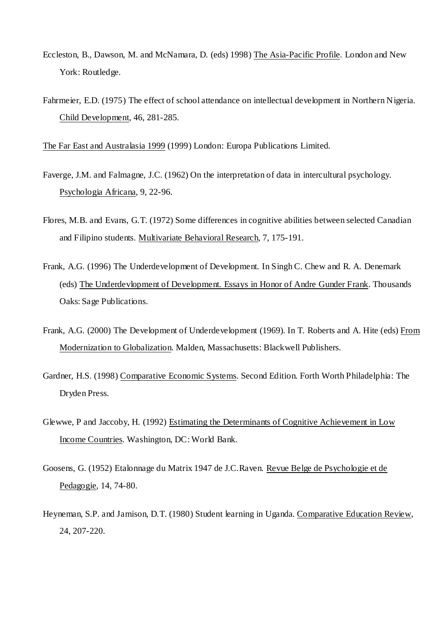- Eccleston, B., Dawson, M. and McNamara, D. (eds) 1998) The Asia-Pacific Profile. London and New York: Routledge.
- Fahrmeier, E.D. (1975) The effect of school attendance on intellectual development in Northern Nigeria. Child Development, 46, 281-285.

The Far East and Australasia 1999 (1999) London: Europa Publications Limited.

- Faverge, J.M. and Falmagne, J.C. (1962) On the interpretation of data in intercultural psychology. Psychologia Africana, 9, 22-96.
- Flores, M.B. and Evans, G.T. (1972) Some differences in cognitive abilities between selected Canadian and Filipino students. Multivariate Behavioral Research, 7, 175-191.
- Frank, A.G. (1996) The Underdevelopment of Development. In Singh C. Chew and R. A. Denemark (eds) The Underdevlopment of Development. Essays in Honor of Andre Gunder Frank. Thousands Oaks: Sage Publications.
- Frank, A.G. (2000) The Development of Underdevelopment (1969). In T. Roberts and A. Hite (eds) From Modernization to Globalization. Malden, Massachusetts: Blackwell Publishers.
- Gardner, H.S. (1998) Comparative Economic Systems. Second Edition. Forth Worth Philadelphia: The Dryden Press.
- Glewwe, P and Jaccoby, H. (1992) Estimating the Determinants of Cognitive Achievement in Low Income Countries. Washington, DC: World Bank.
- Goosens, G. (1952) Etalonnage du Matrix 1947 de J.C.Raven. Revue Belge de Psychologie et de Pedagogie, 14, 74-80.
- Heyneman, S.P. and Jamison, D.T. (1980) Student learning in Uganda. Comparative Education Review, 24, 207-220.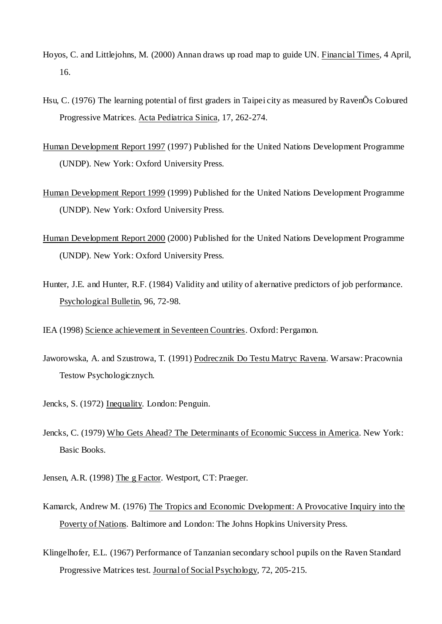- Hoyos, C. and Littlejohns, M. (2000) Annan draws up road map to guide UN. Financial Times, 4 April, 16.
- Hsu, C. (1976) The learning potential of first graders in Taipei city as measured by RavenÕs Coloured Progressive Matrices. Acta Pediatrica Sinica, 17, 262-274.
- Human Development Report 1997 (1997) Published for the United Nations Development Programme (UNDP). New York: Oxford University Press.
- Human Development Report 1999 (1999) Published for the United Nations Development Programme (UNDP). New York: Oxford University Press.
- Human Development Report 2000 (2000) Published for the United Nations Development Programme (UNDP). New York: Oxford University Press.
- Hunter, J.E. and Hunter, R.F. (1984) Validity and utility of alternative predictors of job performance. Psychological Bulletin, 96, 72-98.

IEA (1998) Science achievement in Seventeen Countries. Oxford: Pergamon.

- Jaworowska, A. and Szustrowa, T. (1991) Podrecznik Do Testu Matryc Ravena. Warsaw: Pracownia Testow Psychologicznych.
- Jencks, S. (1972) Inequality. London: Penguin.
- Jencks, C. (1979) Who Gets Ahead? The Determinants of Economic Success in America. New York: Basic Books.
- Jensen, A.R. (1998) The g Factor. Westport, CT: Praeger.
- Kamarck, Andrew M. (1976) The Tropics and Economic Dvelopment: A Provocative Inquiry into the Poverty of Nations. Baltimore and London: The Johns Hopkins University Press.
- Klingelhofer, E.L. (1967) Performance of Tanzanian secondary school pupils on the Raven Standard Progressive Matrices test. Journal of Social Psychology, 72, 205-215.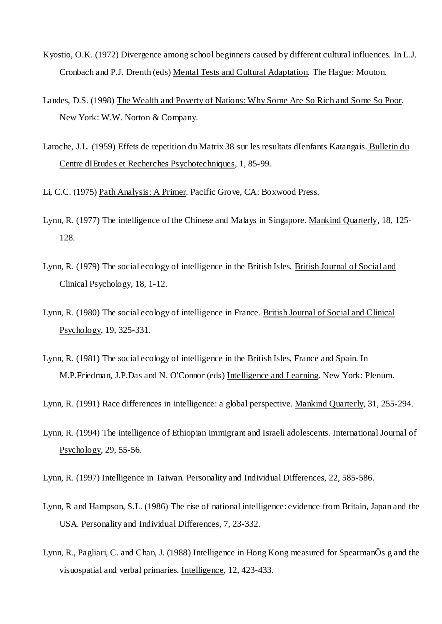- Kyostio, O.K. (1972) Divergence among school beginners caused by different cultural influences. In L.J. Cronbach and P.J. Drenth (eds) Mental Tests and Cultural Adaptation. The Hague: Mouton.
- Landes, D.S. (1998) The Wealth and Poverty of Nations: Why Some Are So Rich and Some So Poor. New York: W.W. Norton & Company.
- Laroche, J.L. (1959) Effets de repetition du Matrix 38 sur les resultats dIenfants Katangais. Bulletin du Centre dIEtudes et Recherches Psychotechniques, 1, 85-99.

Li, C.C. (1975) Path Analysis: A Primer. Pacific Grove, CA: Boxwood Press.

- Lynn, R. (1977) The intelligence of the Chinese and Malays in Singapore. Mankind Quarterly, 18, 125- 128.
- Lynn, R. (1979) The social ecology of intelligence in the British Isles. British Journal of Social and Clinical Psychology, 18, 1-12.
- Lynn, R. (1980) The social ecology of intelligence in France. British Journal of Social and Clinical Psychology, 19, 325-331.
- Lynn, R. (1981) The social ecology of intelligence in the British Isles, France and Spain. In M.P.Friedman, J.P.Das and N. O'Connor (eds) Intelligence and Learning. New York: Plenum.
- Lynn, R. (1991) Race differences in intelligence: a global perspective. Mankind Quarterly, 31, 255-294.
- Lynn, R. (1994) The intelligence of Ethiopian immigrant and Israeli adolescents. International Journal of Psychology, 29, 55-56.
- Lynn, R. (1997) Intelligence in Taiwan. Personality and Individual Differences, 22, 585-586.
- Lynn, R and Hampson, S.L. (1986) The rise of national intelligence: evidence from Britain, Japan and the USA. Personality and Individual Differences, 7, 23-332.
- Lynn, R., Pagliari, C. and Chan, J. (1988) Intelligence in Hong Kong measured for SpearmanÕs g and the visuospatial and verbal primaries. Intelligence, 12, 423-433.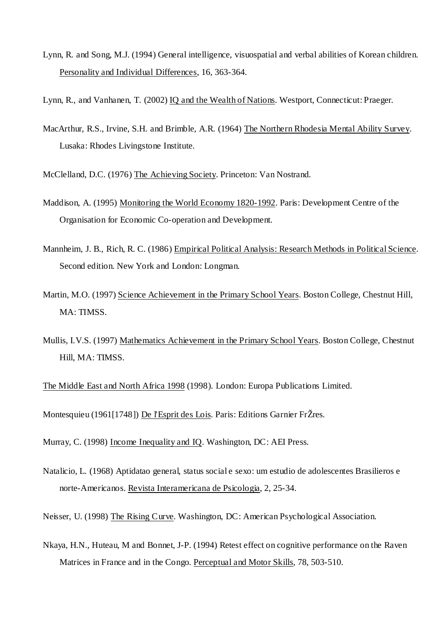Lynn, R. and Song, M.J. (1994) General intelligence, visuospatial and verbal abilities of Korean children. Personality and Individual Differences, 16, 363-364.

Lynn, R., and Vanhanen, T. (2002) IQ and the Wealth of Nations. Westport, Connecticut: Praeger.

MacArthur, R.S., Irvine, S.H. and Brimble, A.R. (1964) The Northern Rhodesia Mental Ability Survey. Lusaka: Rhodes Livingstone Institute.

McClelland, D.C. (1976) The Achieving Society. Princeton: Van Nostrand.

- Maddison, A. (1995) Monitoring the World Economy 1820-1992. Paris: Development Centre of the Organisation for Economic Co-operation and Development.
- Mannheim, J. B., Rich, R. C. (1986) Empirical Political Analysis: Research Methods in Political Science. Second edition. New York and London: Longman.
- Martin, M.O. (1997) Science Achievement in the Primary School Years. Boston College, Chestnut Hill, MA: TIMSS.
- Mullis, I.V.S. (1997) Mathematics Achievement in the Primary School Years. Boston College, Chestnut Hill, MA: TIMSS.

The Middle East and North Africa 1998 (1998). London: Europa Publications Limited.

Montesquieu (1961[1748]) De l'Esprit des Lois. Paris: Editions Garnier FrŽres.

Murray, C. (1998) Income Inequality and IQ. Washington, DC: AEI Press.

Natalicio, L. (1968) Aptidatao general, status social e sexo: um estudio de adolescentes Brasilieros e norte-Americanos. Revista Interamericana de Psicologia, 2, 25-34.

Neisser, U. (1998) The Rising Curve. Washington, DC: American Psychological Association.

Nkaya, H.N., Huteau, M and Bonnet, J-P. (1994) Retest effect on cognitive performance on the Raven Matrices in France and in the Congo. Perceptual and Motor Skills, 78, 503-510.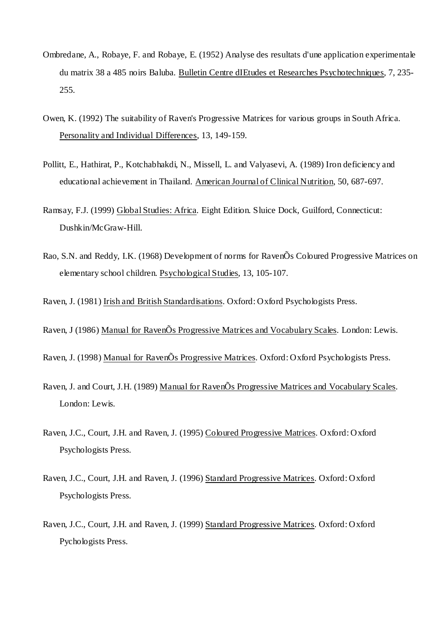- Ombredane, A., Robaye, F. and Robaye, E. (1952) Analyse des resultats d'une application experimentale du matrix 38 a 485 noirs Baluba. Bulletin Centre dIEtudes et Researches Psychotechniques, 7, 235- 255.
- Owen, K. (1992) The suitability of Raven's Progressive Matrices for various groups in South Africa. Personality and Individual Differences, 13, 149-159.
- Pollitt, E., Hathirat, P., Kotchabhakdi, N., Missell, L. and Valyasevi, A. (1989) Iron deficiency and educational achievement in Thailand. American Journal of Clinical Nutrition, 50, 687-697.
- Ramsay, F.J. (1999) Global Studies: Africa. Eight Edition. Sluice Dock, Guilford, Connecticut: Dushkin/McGraw-Hill.
- Rao, S.N. and Reddy, I.K. (1968) Development of norms for RavenÕs Coloured Progressive Matrices on elementary school children. Psychological Studies, 13, 105-107.
- Raven, J. (1981) Irish and British Standardisations. Oxford: Oxford Psychologists Press.
- Raven, J (1986) Manual for RavenÕs Progressive Matrices and Vocabulary Scales. London: Lewis.
- Raven, J. (1998) Manual for RavenÕs Progressive Matrices. Oxford: Oxford Psychologists Press.
- Raven, J. and Court, J.H. (1989) Manual for RavenÕs Progressive Matrices and Vocabulary Scales. London: Lewis.
- Raven, J.C., Court, J.H. and Raven, J. (1995) Coloured Progressive Matrices. Oxford: Oxford Psychologists Press.
- Raven, J.C., Court, J.H. and Raven, J. (1996) Standard Progressive Matrices. Oxford: Oxford Psychologists Press.
- Raven, J.C., Court, J.H. and Raven, J. (1999) Standard Progressive Matrices. Oxford: Oxford Pychologists Press.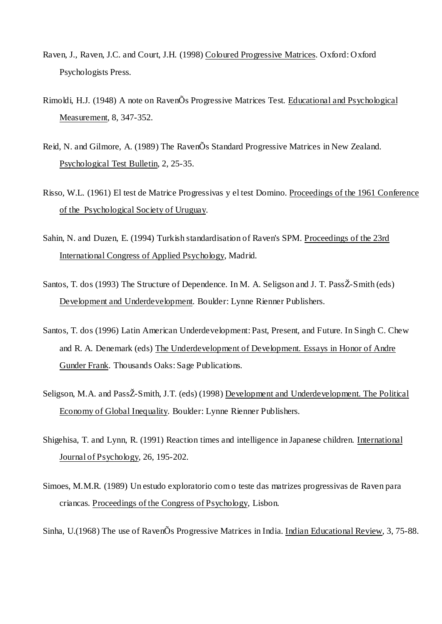- Raven, J., Raven, J.C. and Court, J.H. (1998) Coloured Progressive Matrices. Oxford: Oxford Psychologists Press.
- Rimoldi, H.J. (1948) A note on RavenÕs Progressive Matrices Test. Educational and Psychological Measurement, 8, 347-352.
- Reid, N. and Gilmore, A. (1989) The RavenÕs Standard Progressive Matrices in New Zealand. Psychological Test Bulletin, 2, 25-35.
- Risso, W.L. (1961) El test de Matrice Progressivas y el test Domino. Proceedings of the 1961 Conference of the Psychological Society of Uruguay.
- Sahin, N. and Duzen, E. (1994) Turkish standardisation of Raven's SPM. Proceedings of the 23rd International Congress of Applied Psychology, Madrid.
- Santos, T. dos (1993) The Structure of Dependence. In M. A. Seligson and J. T. PassŽ-Smith (eds) Development and Underdevelopment. Boulder: Lynne Rienner Publishers.
- Santos, T. dos (1996) Latin American Underdevelopment: Past, Present, and Future. In Singh C. Chew and R. A. Denemark (eds) The Underdevelopment of Development. Essays in Honor of Andre Gunder Frank. Thousands Oaks: Sage Publications.
- Seligson, M.A. and PassŽ-Smith, J.T. (eds) (1998) Development and Underdevelopment. The Political Economy of Global Inequality. Boulder: Lynne Rienner Publishers.
- Shigehisa, T. and Lynn, R. (1991) Reaction times and intelligence in Japanese children. International Journal of Psychology, 26, 195-202.
- Simoes, M.M.R. (1989) Un estudo exploratorio com o teste das matrizes progressivas de Raven para criancas. Proceedings of the Congress of Psychology, Lisbon.

Sinha, U.(1968) The use of RavenÕs Progressive Matrices in India. Indian Educational Review, 3, 75-88.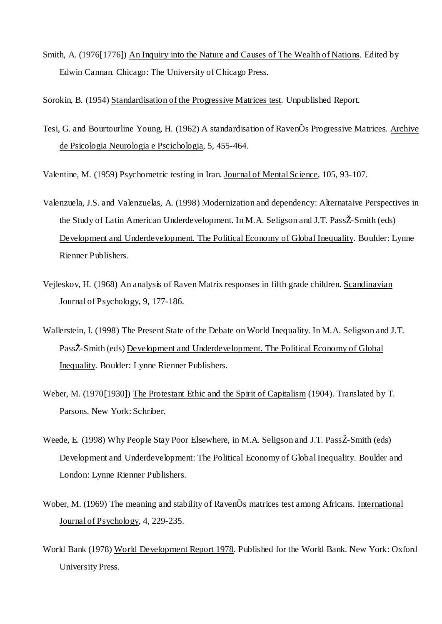Smith, A. (1976[1776]) An Inquiry into the Nature and Causes of The Wealth of Nations. Edited by Edwin Cannan. Chicago: The University of Chicago Press.

Sorokin, B. (1954) Standardisation of the Progressive Matrices test. Unpublished Report.

Tesi, G. and Bourtourline Young, H. (1962) A standardisation of RavenÕs Progressive Matrices. Archive de Psicologia Neurologia e Pscichologia, 5, 455-464.

Valentine, M. (1959) Psychometric testing in Iran. Journal of Mental Science, 105, 93-107.

- Valenzuela, J.S. and Valenzuelas, A. (1998) Modernization and dependency: Alternataive Perspectives in the Study of Latin American Underdevelopment. In M.A. Seligson and J.T. PassŽ-Smith (eds) Development and Underdevelopment. The Political Economy of Global Inequality. Boulder: Lynne Rienner Publishers.
- Vejleskov, H. (1968) An analysis of Raven Matrix responses in fifth grade children. Scandinavian Journal of Psychology, 9, 177-186.
- Wallerstein, I. (1998) The Present State of the Debate on World Inequality. In M.A. Seligson and J.T. PassŽ-Smith (eds) Development and Underdevelopment. The Political Economy of Global Inequality. Boulder: Lynne Rienner Publishers.
- Weber, M. (1970[1930]) The Protestant Ethic and the Spirit of Capitalism (1904). Translated by T. Parsons. New York: Schriber.
- Weede, E. (1998) Why People Stay Poor Elsewhere, in M.A. Seligson and J.T. PassŽ-Smith (eds) Development and Underdevelopment: The Political Economy of Global Inequality. Boulder and London: Lynne Rienner Publishers.
- Wober, M. (1969) The meaning and stability of RavenÕs matrices test among Africans. International Journal of Psychology, 4, 229-235.
- World Bank (1978) World Development Report 1978. Published for the World Bank. New York: Oxford University Press.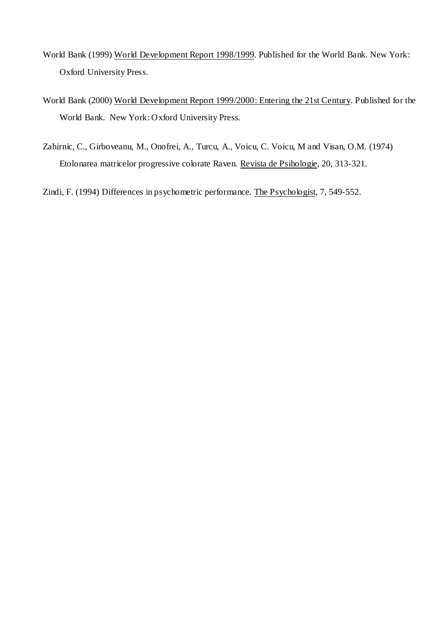- World Bank (1999) World Development Report 1998/1999. Published for the World Bank. New York: Oxford University Press.
- World Bank (2000) World Development Report 1999/2000: Entering the 21st Century. Published for the World Bank. New York: Oxford University Press.
- Zahirnic, C., Girboveanu, M., Onofrei, A., Turcu, A., Voicu, C. Voicu, M and Visan, O.M. (1974) Etolonarea matricelor progressive colorate Raven. Revista de Psihologie, 20, 313-321.

Zindi, F. (1994) Differences in psychometric performance. The Psychologist, 7, 549-552.